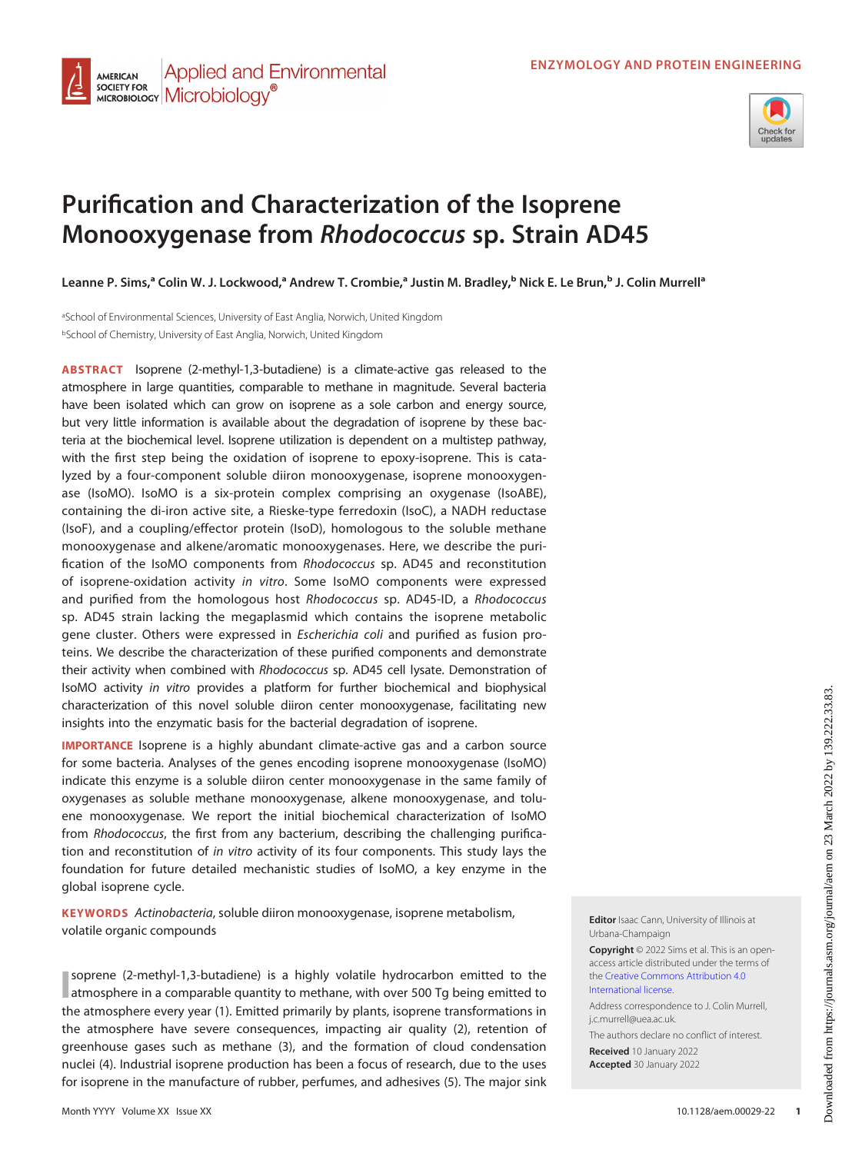



# Purification and Characterization of the Isoprene Monooxygenase from Rhodococcus sp. Strain AD45

Leanne P. Sims,ª Colin W. J. Lockwood,ª Andrew T. Crombie,ª Justin M. Bradley,<sup>b</sup> Nick E. Le Brun,<sup>b</sup> J. Colin Murrellª

aSchool of Environmental Sciences, University of East Anglia, Norwich, United Kingdom bSchool of Chemistry, University of East Anglia, Norwich, United Kingdom

ABSTRACT Isoprene (2-methyl-1,3-butadiene) is a climate-active gas released to the atmosphere in large quantities, comparable to methane in magnitude. Several bacteria have been isolated which can grow on isoprene as a sole carbon and energy source, but very little information is available about the degradation of isoprene by these bacteria at the biochemical level. Isoprene utilization is dependent on a multistep pathway, with the first step being the oxidation of isoprene to epoxy-isoprene. This is catalyzed by a four-component soluble diiron monooxygenase, isoprene monooxygenase (IsoMO). IsoMO is a six-protein complex comprising an oxygenase (IsoABE), containing the di-iron active site, a Rieske-type ferredoxin (IsoC), a NADH reductase (IsoF), and a coupling/effector protein (IsoD), homologous to the soluble methane monooxygenase and alkene/aromatic monooxygenases. Here, we describe the purification of the IsoMO components from Rhodococcus sp. AD45 and reconstitution of isoprene-oxidation activity in vitro. Some IsoMO components were expressed and purified from the homologous host Rhodococcus sp. AD45-ID, a Rhodococcus sp. AD45 strain lacking the megaplasmid which contains the isoprene metabolic gene cluster. Others were expressed in Escherichia coli and purified as fusion proteins. We describe the characterization of these purified components and demonstrate their activity when combined with Rhodococcus sp. AD45 cell lysate. Demonstration of IsoMO activity in vitro provides a platform for further biochemical and biophysical characterization of this novel soluble diiron center monooxygenase, facilitating new insights into the enzymatic basis for the bacterial degradation of isoprene.

IMPORTANCE Isoprene is a highly abundant climate-active gas and a carbon source for some bacteria. Analyses of the genes encoding isoprene monooxygenase (IsoMO) indicate this enzyme is a soluble diiron center monooxygenase in the same family of oxygenases as soluble methane monooxygenase, alkene monooxygenase, and toluene monooxygenase. We report the initial biochemical characterization of IsoMO from Rhodococcus, the first from any bacterium, describing the challenging purification and reconstitution of in vitro activity of its four components. This study lays the foundation for future detailed mechanistic studies of IsoMO, a key enzyme in the global isoprene cycle.

KEYWORDS Actinobacteria, soluble diiron monooxygenase, isoprene metabolism, volatile organic compounds

I atmosphere in a comparable quantity to methane, with over 500 Tg being emitted to soprene (2-methyl-1,3-butadiene) is a highly volatile hydrocarbon emitted to the the atmosphere every year [\(1](#page-12-0)). Emitted primarily by plants, isoprene transformations in the atmosphere have severe consequences, impacting air quality [\(2\)](#page-12-1), retention of greenhouse gases such as methane ([3](#page-12-2)), and the formation of cloud condensation nuclei ([4](#page-12-3)). Industrial isoprene production has been a focus of research, due to the uses for isoprene in the manufacture of rubber, perfumes, and adhesives ([5](#page-12-4)). The major sink Editor Isaac Cann, University of Illinois at Urbana-Champaign

Copyright © 2022 Sims et al. This is an openaccess article distributed under the terms of the [Creative Commons Attribution 4.0](https://creativecommons.org/licenses/by/4.0/) [International license](https://creativecommons.org/licenses/by/4.0/).

Address correspondence to J. Colin Murrell, j.c.murrell@uea.ac.uk.

The authors declare no conflict of interest. Received 10 January 2022 Accepted 30 January 2022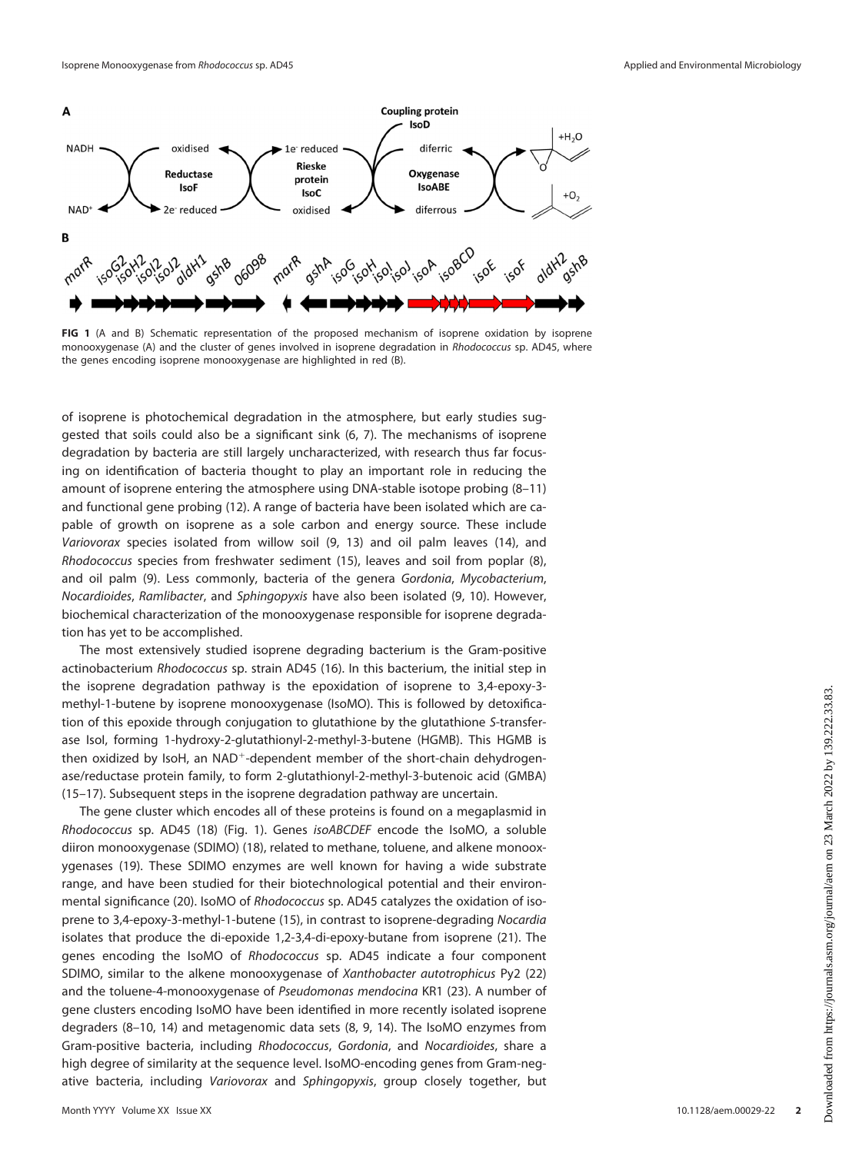

<span id="page-1-0"></span>FIG 1 (A and B) Schematic representation of the proposed mechanism of isoprene oxidation by isoprene monooxygenase (A) and the cluster of genes involved in isoprene degradation in Rhodococcus sp. AD45, where the genes encoding isoprene monooxygenase are highlighted in red (B).

of isoprene is photochemical degradation in the atmosphere, but early studies suggested that soils could also be a significant sink ([6](#page-12-5), [7](#page-12-6)). The mechanisms of isoprene degradation by bacteria are still largely uncharacterized, with research thus far focusing on identification of bacteria thought to play an important role in reducing the amount of isoprene entering the atmosphere using DNA-stable isotope probing [\(8](#page-12-7)–[11](#page-12-8)) and functional gene probing ([12](#page-12-9)). A range of bacteria have been isolated which are capable of growth on isoprene as a sole carbon and energy source. These include Variovorax species isolated from willow soil ([9,](#page-12-10) [13](#page-12-11)) and oil palm leaves [\(14\)](#page-12-12), and Rhodococcus species from freshwater sediment [\(15](#page-13-0)), leaves and soil from poplar ([8\)](#page-12-7), and oil palm ([9](#page-12-10)). Less commonly, bacteria of the genera Gordonia, Mycobacterium, Nocardioides, Ramlibacter, and Sphingopyxis have also been isolated ([9,](#page-12-10) [10\)](#page-12-13). However, biochemical characterization of the monooxygenase responsible for isoprene degradation has yet to be accomplished.

The most extensively studied isoprene degrading bacterium is the Gram-positive actinobacterium Rhodococcus sp. strain AD45 [\(16\)](#page-13-1). In this bacterium, the initial step in the isoprene degradation pathway is the epoxidation of isoprene to 3,4-epoxy-3 methyl-1-butene by isoprene monooxygenase (IsoMO). This is followed by detoxification of this epoxide through conjugation to glutathione by the glutathione S-transferase IsoI, forming 1-hydroxy-2-glutathionyl-2-methyl-3-butene (HGMB). This HGMB is then oxidized by IsoH, an  $NAD^+$ -dependent member of the short-chain dehydrogenase/reductase protein family, to form 2-glutathionyl-2-methyl-3-butenoic acid (GMBA) ([15](#page-13-0)[–](#page-13-1)[17\)](#page-13-2). Subsequent steps in the isoprene degradation pathway are uncertain.

The gene cluster which encodes all of these proteins is found on a megaplasmid in Rhodococcus sp. AD45 [\(18](#page-13-3)) ([Fig. 1\)](#page-1-0). Genes isoABCDEF encode the IsoMO, a soluble diiron monooxygenase (SDIMO) [\(18\)](#page-13-3), related to methane, toluene, and alkene monooxygenases [\(19\)](#page-13-4). These SDIMO enzymes are well known for having a wide substrate range, and have been studied for their biotechnological potential and their environmental significance [\(20](#page-13-5)). IsoMO of Rhodococcus sp. AD45 catalyzes the oxidation of isoprene to 3,4-epoxy-3-methyl-1-butene [\(15](#page-13-0)), in contrast to isoprene-degrading Nocardia isolates that produce the di-epoxide 1,2-3,4-di-epoxy-butane from isoprene [\(21](#page-13-6)). The genes encoding the IsoMO of Rhodococcus sp. AD45 indicate a four component SDIMO, similar to the alkene monooxygenase of Xanthobacter autotrophicus Py2 [\(22](#page-13-7)) and the toluene-4-monooxygenase of Pseudomonas mendocina KR1 [\(23](#page-13-8)). A number of gene clusters encoding IsoMO have been identified in more recently isolated isoprene degraders ([8](#page-12-7)[–](#page-12-10)[10,](#page-12-13) [14](#page-12-12)) and metagenomic data sets ([8](#page-12-7), [9,](#page-12-10) [14](#page-12-12)). The IsoMO enzymes from Gram-positive bacteria, including Rhodococcus, Gordonia, and Nocardioides, share a high degree of similarity at the sequence level. IsoMO-encoding genes from Gram-negative bacteria, including Variovorax and Sphingopyxis, group closely together, but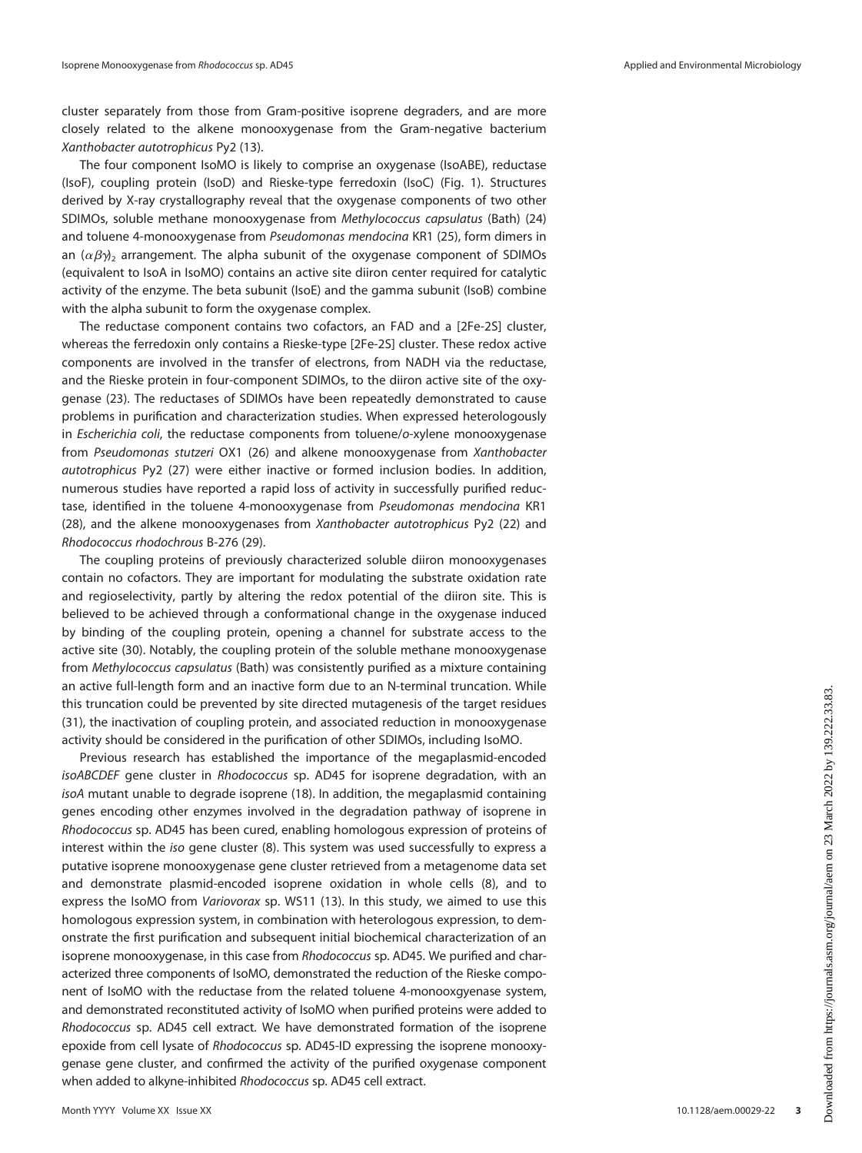cluster separately from those from Gram-positive isoprene degraders, and are more closely related to the alkene monooxygenase from the Gram-negative bacterium Xanthobacter autotrophicus Py2 [\(13\)](#page-12-11).

The four component IsoMO is likely to comprise an oxygenase (IsoABE), reductase (IsoF), coupling protein (IsoD) and Rieske-type ferredoxin (IsoC) ([Fig. 1\)](#page-1-0). Structures derived by X-ray crystallography reveal that the oxygenase components of two other SDIMOs, soluble methane monooxygenase from Methylococcus capsulatus (Bath) [\(24](#page-13-9)) and toluene 4-monooxygenase from Pseudomonas mendocina KR1 [\(25](#page-13-10)), form dimers in an  $(\alpha\beta\gamma)_2$  arrangement. The alpha subunit of the oxygenase component of SDIMOs (equivalent to IsoA in IsoMO) contains an active site diiron center required for catalytic activity of the enzyme. The beta subunit (IsoE) and the gamma subunit (IsoB) combine with the alpha subunit to form the oxygenase complex.

The reductase component contains two cofactors, an FAD and a [2Fe-2S] cluster, whereas the ferredoxin only contains a Rieske-type [2Fe-2S] cluster. These redox active components are involved in the transfer of electrons, from NADH via the reductase, and the Rieske protein in four-component SDIMOs, to the diiron active site of the oxygenase ([23\)](#page-13-8). The reductases of SDIMOs have been repeatedly demonstrated to cause problems in purification and characterization studies. When expressed heterologously in Escherichia coli, the reductase components from toluene/o-xylene monooxygenase from Pseudomonas stutzeri OX1 [\(26](#page-13-11)) and alkene monooxygenase from Xanthobacter autotrophicus Py2 ([27](#page-13-12)) were either inactive or formed inclusion bodies. In addition, numerous studies have reported a rapid loss of activity in successfully purified reductase, identified in the toluene 4-monooxygenase from Pseudomonas mendocina KR1 ([28\)](#page-13-13), and the alkene monooxygenases from Xanthobacter autotrophicus Py2 [\(22\)](#page-13-7) and Rhodococcus rhodochrous B-276 ([29\)](#page-13-14).

The coupling proteins of previously characterized soluble diiron monooxygenases contain no cofactors. They are important for modulating the substrate oxidation rate and regioselectivity, partly by altering the redox potential of the diiron site. This is believed to be achieved through a conformational change in the oxygenase induced by binding of the coupling protein, opening a channel for substrate access to the active site [\(30](#page-13-15)). Notably, the coupling protein of the soluble methane monooxygenase from Methylococcus capsulatus (Bath) was consistently purified as a mixture containing an active full-length form and an inactive form due to an N-terminal truncation. While this truncation could be prevented by site directed mutagenesis of the target residues ([31\)](#page-13-16), the inactivation of coupling protein, and associated reduction in monooxygenase activity should be considered in the purification of other SDIMOs, including IsoMO.

Previous research has established the importance of the megaplasmid-encoded isoABCDEF gene cluster in Rhodococcus sp. AD45 for isoprene degradation, with an isoA mutant unable to degrade isoprene [\(18\)](#page-13-3). In addition, the megaplasmid containing genes encoding other enzymes involved in the degradation pathway of isoprene in Rhodococcus sp. AD45 has been cured, enabling homologous expression of proteins of interest within the iso gene cluster ([8](#page-12-7)). This system was used successfully to express a putative isoprene monooxygenase gene cluster retrieved from a metagenome data set and demonstrate plasmid-encoded isoprene oxidation in whole cells [\(8\)](#page-12-7), and to express the IsoMO from Variovorax sp. WS11 (13). In this study, we aimed to use this homologous expression system, in combination with heterologous expression, to demonstrate the first purification and subsequent initial biochemical characterization of an isoprene monooxygenase, in this case from Rhodococcus sp. AD45. We purified and characterized three components of IsoMO, demonstrated the reduction of the Rieske component of IsoMO with the reductase from the related toluene 4-monooxgyenase system, and demonstrated reconstituted activity of IsoMO when purified proteins were added to Rhodococcus sp. AD45 cell extract. We have demonstrated formation of the isoprene epoxide from cell lysate of Rhodococcus sp. AD45-ID expressing the isoprene monooxygenase gene cluster, and confirmed the activity of the purified oxygenase component when added to alkyne-inhibited Rhodococcus sp. AD45 cell extract.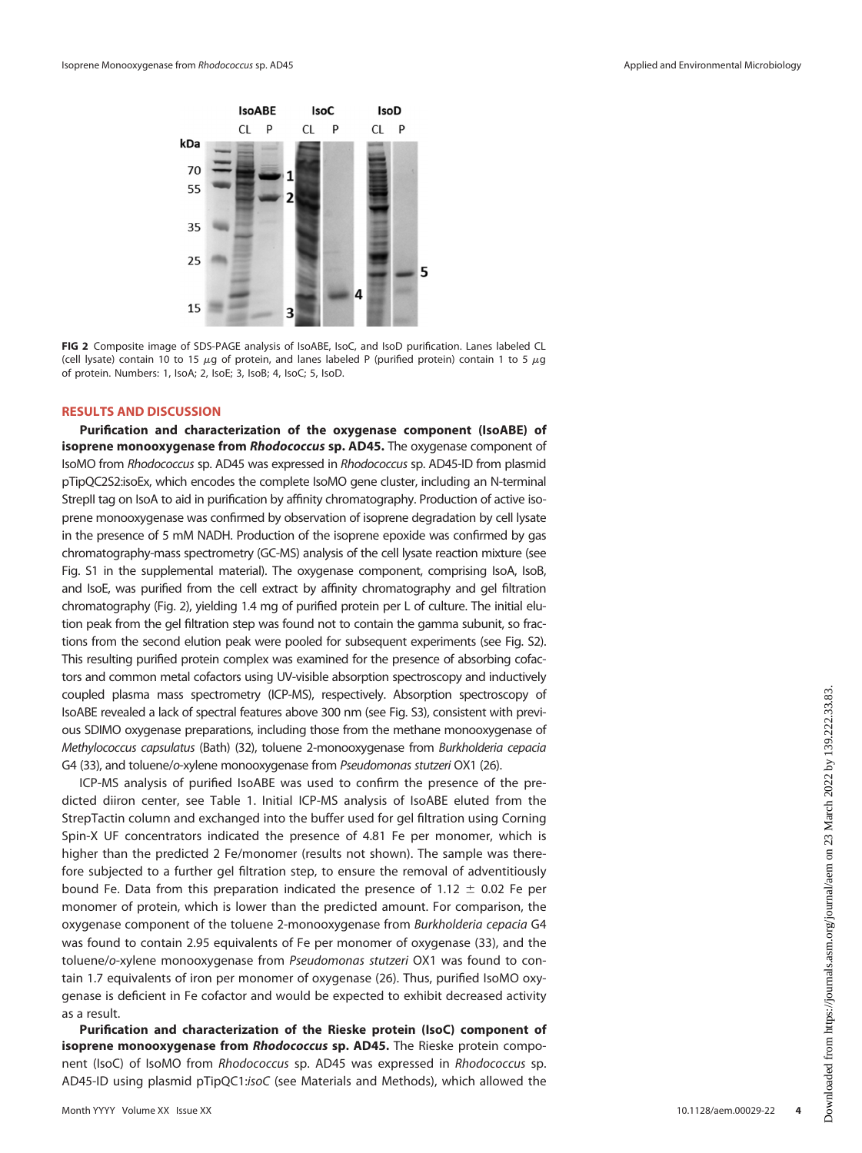

<span id="page-3-0"></span>FIG 2 Composite image of SDS-PAGE analysis of IsoABE, IsoC, and IsoD purification. Lanes labeled CL (cell lysate) contain 10 to 15  $\mu$ g of protein, and lanes labeled P (purified protein) contain 1 to 5  $\mu$ g of protein. Numbers: 1, IsoA; 2, IsoE; 3, IsoB; 4, IsoC; 5, IsoD.

#### RESULTS AND DISCUSSION

Purification and characterization of the oxygenase component (IsoABE) of isoprene monooxygenase from Rhodococcus sp. AD45. The oxygenase component of IsoMO from Rhodococcus sp. AD45 was expressed in Rhodococcus sp. AD45-ID from plasmid pTipQC2S2:isoEx, which encodes the complete IsoMO gene cluster, including an N-terminal StrepII tag on IsoA to aid in purification by affinity chromatography. Production of active isoprene monooxygenase was confirmed by observation of isoprene degradation by cell lysate in the presence of 5 mM NADH. Production of the isoprene epoxide was confirmed by gas chromatography-mass spectrometry (GC-MS) analysis of the cell lysate reaction mixture (see Fig. S1 in the supplemental material). The oxygenase component, comprising IsoA, IsoB, and IsoE, was purified from the cell extract by affinity chromatography and gel filtration chromatography [\(Fig. 2](#page-3-0)), yielding 1.4 mg of purified protein per L of culture. The initial elution peak from the gel filtration step was found not to contain the gamma subunit, so fractions from the second elution peak were pooled for subsequent experiments (see Fig. S2). This resulting purified protein complex was examined for the presence of absorbing cofactors and common metal cofactors using UV-visible absorption spectroscopy and inductively coupled plasma mass spectrometry (ICP-MS), respectively. Absorption spectroscopy of IsoABE revealed a lack of spectral features above 300 nm (see Fig. S3), consistent with previous SDIMO oxygenase preparations, including those from the methane monooxygenase of Methylococcus capsulatus (Bath) [\(32\)](#page-13-17), toluene 2-monooxygenase from Burkholderia cepacia G4 ([33](#page-13-18)), and toluene/o-xylene monooxygenase from Pseudomonas stutzeri OX1 [\(26\)](#page-13-11).

ICP-MS analysis of purified IsoABE was used to confirm the presence of the predicted diiron center, see [Table 1](#page-4-0). Initial ICP-MS analysis of IsoABE eluted from the StrepTactin column and exchanged into the buffer used for gel filtration using Corning Spin-X UF concentrators indicated the presence of 4.81 Fe per monomer, which is higher than the predicted 2 Fe/monomer (results not shown). The sample was therefore subjected to a further gel filtration step, to ensure the removal of adventitiously bound Fe. Data from this preparation indicated the presence of 1.12  $\pm$  0.02 Fe per monomer of protein, which is lower than the predicted amount. For comparison, the oxygenase component of the toluene 2-monooxygenase from Burkholderia cepacia G4 was found to contain 2.95 equivalents of Fe per monomer of oxygenase ([33](#page-13-18)), and the toluene/o-xylene monooxygenase from Pseudomonas stutzeri OX1 was found to contain 1.7 equivalents of iron per monomer of oxygenase [\(26\)](#page-13-11). Thus, purified IsoMO oxygenase is deficient in Fe cofactor and would be expected to exhibit decreased activity as a result.

Purification and characterization of the Rieske protein (IsoC) component of isoprene monooxygenase from Rhodococcus sp. AD45. The Rieske protein component (IsoC) of IsoMO from Rhodococcus sp. AD45 was expressed in Rhodococcus sp. AD45-ID using plasmid pTipQC1:isoC (see Materials and Methods), which allowed the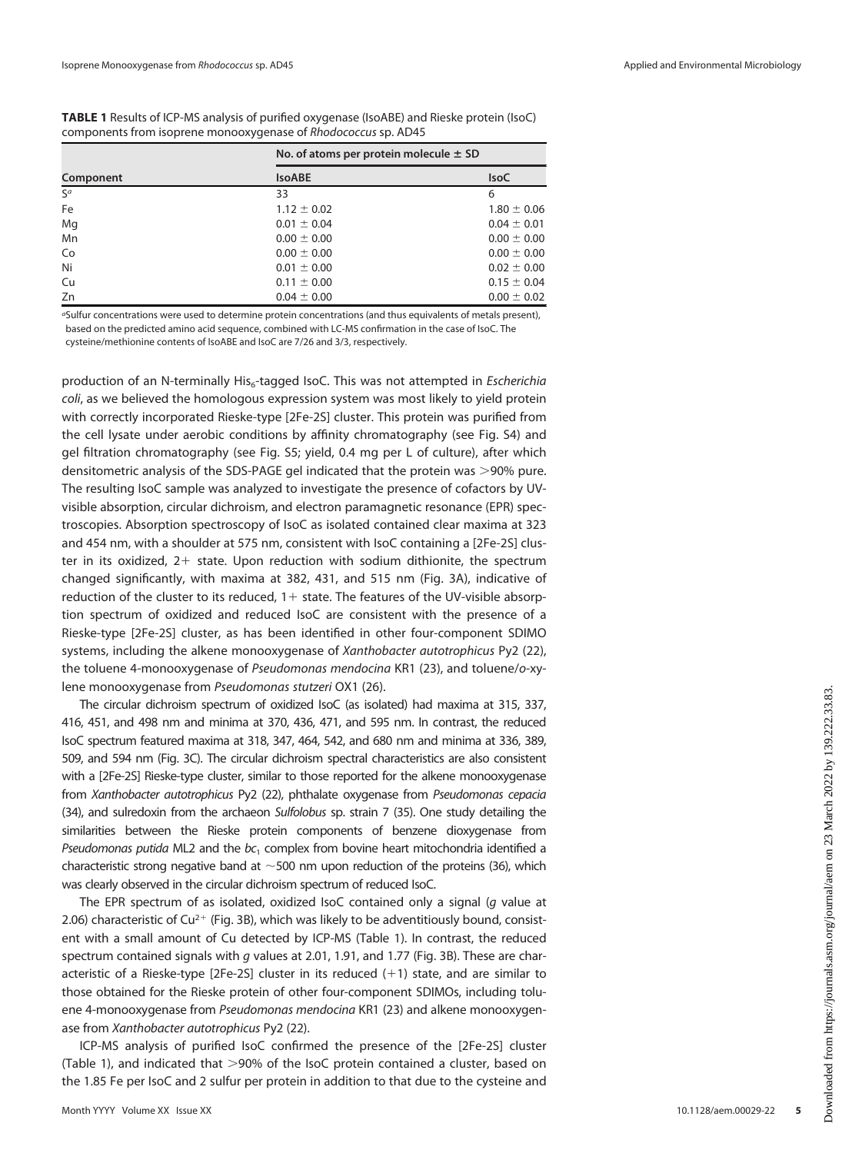<span id="page-4-0"></span>TABLE 1 Results of ICP-MS analysis of purified oxygenase (IsoABE) and Rieske protein (IsoC) components from isoprene monooxygenase of Rhodococcus sp. AD45

|           | No. of atoms per protein molecule $\pm$ SD |                 |  |
|-----------|--------------------------------------------|-----------------|--|
| Component | <b>IsoABE</b>                              | <b>IsoC</b>     |  |
| $S^a$     | 33                                         | 6               |  |
| Fe        | $1.12 \pm 0.02$                            | $1.80 \pm 0.06$ |  |
| Mg        | $0.01 \pm 0.04$                            | $0.04 \pm 0.01$ |  |
| Mn        | $0.00 \pm 0.00$                            | $0.00 \pm 0.00$ |  |
| Co        | $0.00 \pm 0.00$                            | $0.00 \pm 0.00$ |  |
| Ni        | $0.01 \pm 0.00$                            | $0.02 \pm 0.00$ |  |
| Cu        | $0.11 \pm 0.00$                            | $0.15 \pm 0.04$ |  |
| Zn        | $0.04 \pm 0.00$                            | $0.00 \pm 0.02$ |  |

<sup>a</sup>Sulfur concentrations were used to determine protein concentrations (and thus equivalents of metals present), based on the predicted amino acid sequence, combined with LC-MS confirmation in the case of IsoC. The cysteine/methionine contents of IsoABE and IsoC are 7/26 and 3/3, respectively.

production of an N-terminally His $_{6}$ -tagged IsoC. This was not attempted in *Escherichia* coli, as we believed the homologous expression system was most likely to yield protein with correctly incorporated Rieske-type [2Fe-2S] cluster. This protein was purified from the cell lysate under aerobic conditions by affinity chromatography (see Fig. S4) and gel filtration chromatography (see Fig. S5; yield, 0.4 mg per L of culture), after which densitometric analysis of the SDS-PAGE gel indicated that the protein was >90% pure. The resulting IsoC sample was analyzed to investigate the presence of cofactors by UVvisible absorption, circular dichroism, and electron paramagnetic resonance (EPR) spectroscopies. Absorption spectroscopy of IsoC as isolated contained clear maxima at 323 and 454 nm, with a shoulder at 575 nm, consistent with IsoC containing a [2Fe-2S] cluster in its oxidized,  $2+$  state. Upon reduction with sodium dithionite, the spectrum changed significantly, with maxima at 382, 431, and 515 nm ([Fig. 3A](#page-5-0)), indicative of reduction of the cluster to its reduced,  $1+$  state. The features of the UV-visible absorption spectrum of oxidized and reduced IsoC are consistent with the presence of a Rieske-type [2Fe-2S] cluster, as has been identified in other four-component SDIMO systems, including the alkene monooxygenase of Xanthobacter autotrophicus Py2 [\(22\)](#page-13-7), the toluene 4-monooxygenase of Pseudomonas mendocina KR1 [\(23\)](#page-13-8), and toluene/o-xylene monooxygenase from Pseudomonas stutzeri OX1 [\(26](#page-13-11)).

The circular dichroism spectrum of oxidized IsoC (as isolated) had maxima at 315, 337, 416, 451, and 498 nm and minima at 370, 436, 471, and 595 nm. In contrast, the reduced IsoC spectrum featured maxima at 318, 347, 464, 542, and 680 nm and minima at 336, 389, 509, and 594 nm [\(Fig. 3C\)](#page-5-0). The circular dichroism spectral characteristics are also consistent with a [2Fe-2S] Rieske-type cluster, similar to those reported for the alkene monooxygenase from Xanthobacter autotrophicus Py2 [\(22\)](#page-13-7), phthalate oxygenase from Pseudomonas cepacia [\(34\)](#page-13-19), and sulredoxin from the archaeon Sulfolobus sp. strain 7 [\(35](#page-13-20)). One study detailing the similarities between the Rieske protein components of benzene dioxygenase from Pseudomonas putida ML2 and the  $bc_1$  complex from bovine heart mitochondria identified a characteristic strong negative band at  $\sim$  500 nm upon reduction of the proteins [\(36\)](#page-13-21), which was clearly observed in the circular dichroism spectrum of reduced IsoC.

The EPR spectrum of as isolated, oxidized IsoC contained only a signal (g value at 2.06) characteristic of  $Cu^{2+}$  [\(Fig. 3B\)](#page-5-0), which was likely to be adventitiously bound, consistent with a small amount of Cu detected by ICP-MS [\(Table 1](#page-4-0)). In contrast, the reduced spectrum contained signals with g values at 2.01, 1.91, and 1.77 [\(Fig. 3B\)](#page-5-0). These are characteristic of a Rieske-type [2Fe-2S] cluster in its reduced  $(+1)$  state, and are similar to those obtained for the Rieske protein of other four-component SDIMOs, including toluene 4-monooxygenase from Pseudomonas mendocina KR1 [\(23](#page-13-8)) and alkene monooxygenase from Xanthobacter autotrophicus Py2 [\(22](#page-13-7)).

ICP-MS analysis of purified IsoC confirmed the presence of the [2Fe-2S] cluster ([Table 1\)](#page-4-0), and indicated that  $>$ 90% of the IsoC protein contained a cluster, based on the 1.85 Fe per IsoC and 2 sulfur per protein in addition to that due to the cysteine and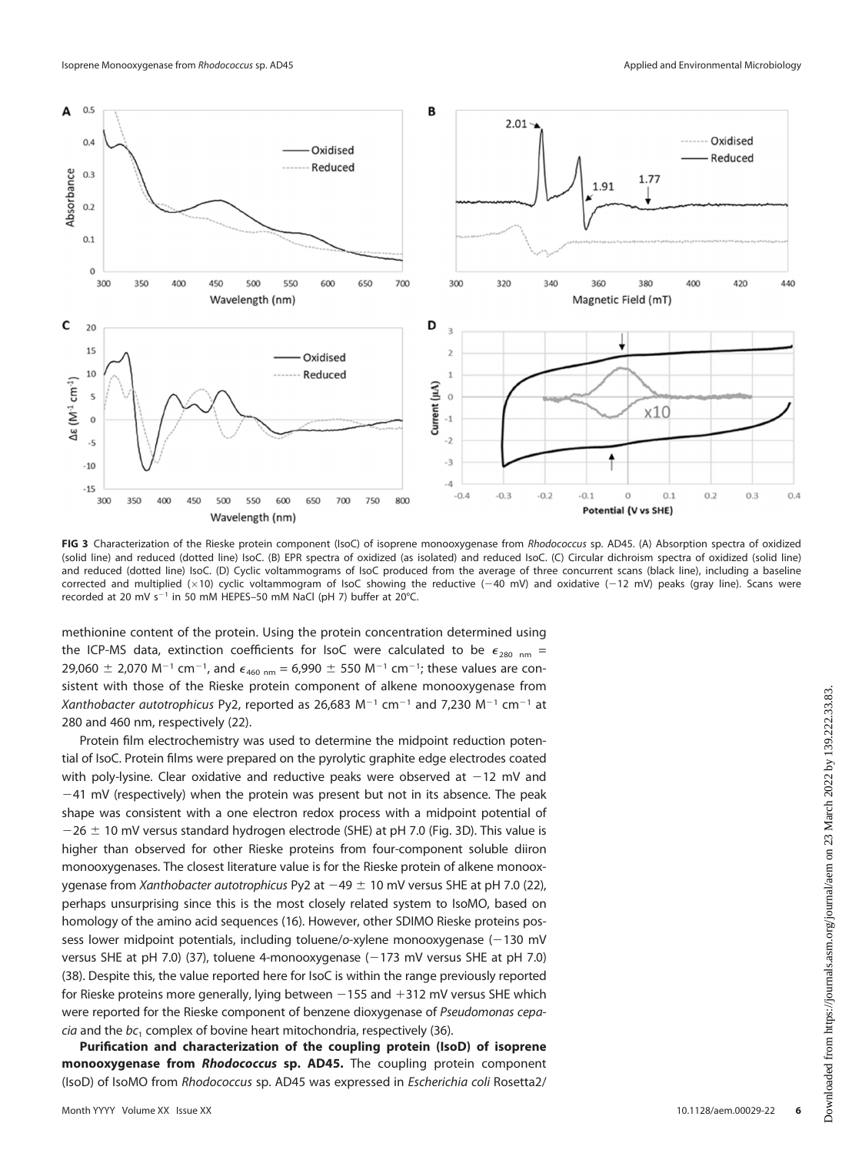

<span id="page-5-0"></span>FIG 3 Characterization of the Rieske protein component (IsoC) of isoprene monooxygenase from Rhodococcus sp. AD45. (A) Absorption spectra of oxidized (solid line) and reduced (dotted line) IsoC. (B) EPR spectra of oxidized (as isolated) and reduced IsoC. (C) Circular dichroism spectra of oxidized (solid line) and reduced (dotted line) IsoC. (D) Cyclic voltammograms of IsoC produced from the average of three concurrent scans (black line), including a baseline corrected and multiplied ( $\times$ 10) cyclic voltammogram of IsoC showing the reductive (-40 mV) and oxidative (-12 mV) peaks (gray line). Scans were recorded at 20 mV s<sup>-1</sup> in 50 mM HEPES-50 mM NaCl (pH 7) buffer at 20°C.

methionine content of the protein. Using the protein concentration determined using the ICP-MS data, extinction coefficients for IsoC were calculated to be  $\epsilon_{280 \text{ nm}} =$ 29,060  $\pm$  2,070 M<sup>-1</sup> cm<sup>-1</sup>, and  $\epsilon_{460 \text{ nm}}$  = 6,990  $\pm$  550 M<sup>-1</sup> cm<sup>-1</sup>; these values are consistent with those of the Rieske protein component of alkene monooxygenase from Xanthobacter autotrophicus Py2, reported as 26,683 M<sup>-1</sup> cm<sup>-1</sup> and 7,230 M<sup>-1</sup> cm<sup>-1</sup> at 280 and 460 nm, respectively [\(22\)](#page-13-7).

Protein film electrochemistry was used to determine the midpoint reduction potential of IsoC. Protein films were prepared on the pyrolytic graphite edge electrodes coated with poly-lysine. Clear oxidative and reductive peaks were observed at  $-12$  mV and  $-41$  mV (respectively) when the protein was present but not in its absence. The peak shape was consistent with a one electron redox process with a midpoint potential of  $-26 \pm 10$  mV versus standard hydrogen electrode (SHE) at pH 7.0 ([Fig. 3D](#page-5-0)). This value is higher than observed for other Rieske proteins from four-component soluble diiron monooxygenases. The closest literature value is for the Rieske protein of alkene monooxygenase from Xanthobacter autotrophicus Py2 at  $-49 \pm 10$  mV versus SHE at pH 7.0 (22), perhaps unsurprising since this is the most closely related system to IsoMO, based on homology of the amino acid sequences ([16\)](#page-13-1). However, other SDIMO Rieske proteins possess lower midpoint potentials, including toluene/o-xylene monooxygenase (-130 mV versus SHE at pH 7.0) ([37\)](#page-13-22), toluene 4-monooxygenase (-173 mV versus SHE at pH 7.0) [\(38\)](#page-13-23). Despite this, the value reported here for IsoC is within the range previously reported for Rieske proteins more generally, lying between  $-155$  and  $+312$  mV versus SHE which were reported for the Rieske component of benzene dioxygenase of Pseudomonas cepa $cia$  and the  $bc$ , complex of bovine heart mitochondria, respectively [\(36](#page-13-21)).

Purification and characterization of the coupling protein (IsoD) of isoprene monooxygenase from Rhodococcus sp. AD45. The coupling protein component (IsoD) of IsoMO from Rhodococcus sp. AD45 was expressed in Escherichia coli Rosetta2/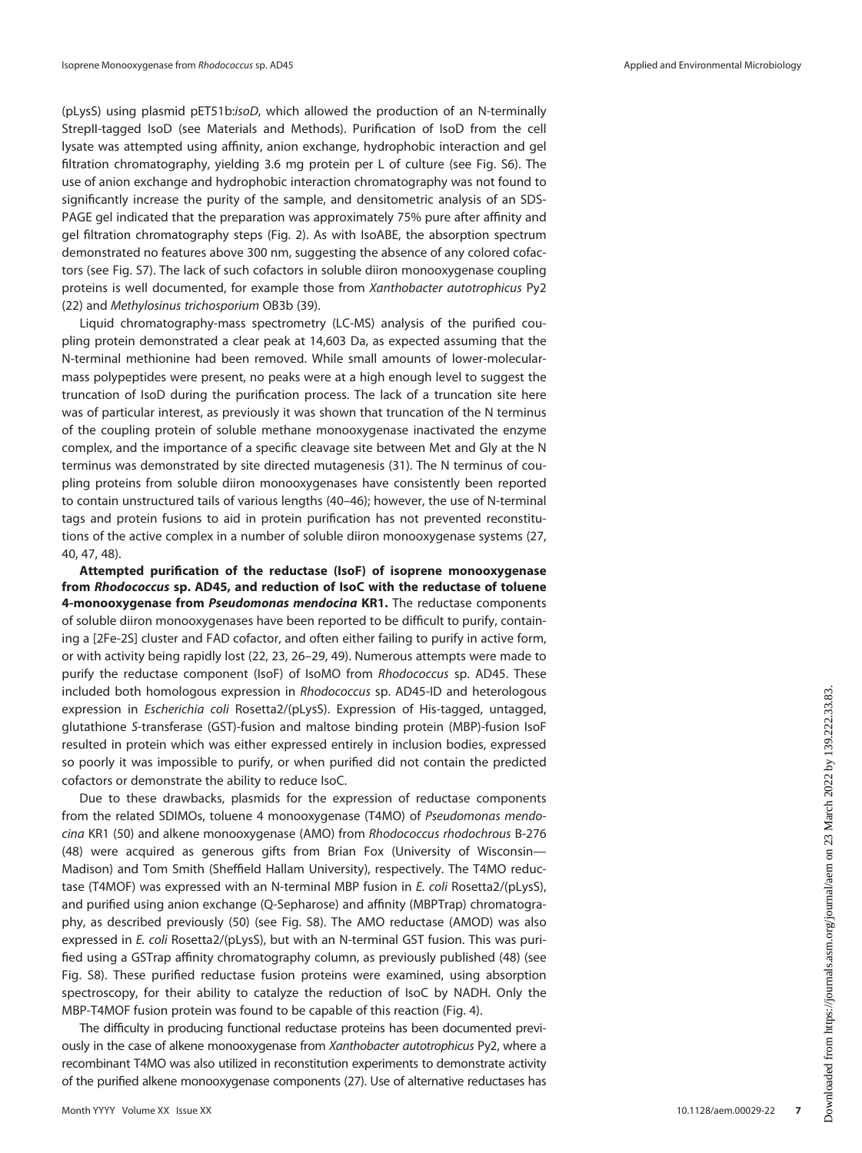(pLysS) using plasmid pET51b:isoD, which allowed the production of an N-terminally StrepII-tagged IsoD (see Materials and Methods). Purification of IsoD from the cell lysate was attempted using affinity, anion exchange, hydrophobic interaction and gel filtration chromatography, yielding 3.6 mg protein per L of culture (see Fig. S6). The use of anion exchange and hydrophobic interaction chromatography was not found to significantly increase the purity of the sample, and densitometric analysis of an SDS-PAGE gel indicated that the preparation was approximately 75% pure after affinity and gel filtration chromatography steps [\(Fig. 2](#page-3-0)). As with IsoABE, the absorption spectrum demonstrated no features above 300 nm, suggesting the absence of any colored cofactors (see Fig. S7). The lack of such cofactors in soluble diiron monooxygenase coupling proteins is well documented, for example those from Xanthobacter autotrophicus Py2 ([22\)](#page-13-7) and Methylosinus trichosporium OB3b ([39](#page-13-24)).

Liquid chromatography-mass spectrometry (LC-MS) analysis of the purified coupling protein demonstrated a clear peak at 14,603 Da, as expected assuming that the N-terminal methionine had been removed. While small amounts of lower-molecularmass polypeptides were present, no peaks were at a high enough level to suggest the truncation of IsoD during the purification process. The lack of a truncation site here was of particular interest, as previously it was shown that truncation of the N terminus of the coupling protein of soluble methane monooxygenase inactivated the enzyme complex, and the importance of a specific cleavage site between Met and Gly at the N terminus was demonstrated by site directed mutagenesis [\(31\)](#page-13-16). The N terminus of coupling proteins from soluble diiron monooxygenases have consistently been reported to contain unstructured tails of various lengths [\(40](#page-13-25)–[46](#page-13-26)); however, the use of N-terminal tags and protein fusions to aid in protein purification has not prevented reconstitutions of the active complex in a number of soluble diiron monooxygenase systems ([27](#page-13-12), [40](#page-13-25), [47,](#page-13-27) [48\)](#page-13-28).

Attempted purification of the reductase (IsoF) of isoprene monooxygenase from Rhodococcus sp. AD45, and reduction of IsoC with the reductase of toluene 4-monooxygenase from Pseudomonas mendocina KR1. The reductase components of soluble diiron monooxygenases have been reported to be difficult to purify, containing a [2Fe-2S] cluster and FAD cofactor, and often either failing to purify in active form, or with activity being rapidly lost [\(22](#page-13-7), [23,](#page-13-8) [26](#page-13-11)–[29,](#page-13-14) [49](#page-13-29)). Numerous attempts were made to purify the reductase component (IsoF) of IsoMO from Rhodococcus sp. AD45. These included both homologous expression in Rhodococcus sp. AD45-ID and heterologous expression in Escherichia coli Rosetta2/(pLysS). Expression of His-tagged, untagged, glutathione S-transferase (GST)-fusion and maltose binding protein (MBP)-fusion IsoF resulted in protein which was either expressed entirely in inclusion bodies, expressed so poorly it was impossible to purify, or when purified did not contain the predicted cofactors or demonstrate the ability to reduce IsoC.

Due to these drawbacks, plasmids for the expression of reductase components from the related SDIMOs, toluene 4 monooxygenase (T4MO) of Pseudomonas mendocina KR1 [\(50\)](#page-13-30) and alkene monooxygenase (AMO) from Rhodococcus rhodochrous B-276 ([48\)](#page-13-28) were acquired as generous gifts from Brian Fox (University of Wisconsin— Madison) and Tom Smith (Sheffield Hallam University), respectively. The T4MO reductase (T4MOF) was expressed with an N-terminal MBP fusion in E. coli Rosetta2/(pLysS), and purified using anion exchange (Q-Sepharose) and affinity (MBPTrap) chromatography, as described previously ([50](#page-13-30)) (see Fig. S8). The AMO reductase (AMOD) was also expressed in E. coli Rosetta2/(pLysS), but with an N-terminal GST fusion. This was purified using a GSTrap affinity chromatography column, as previously published [\(48\)](#page-13-28) (see Fig. S8). These purified reductase fusion proteins were examined, using absorption spectroscopy, for their ability to catalyze the reduction of IsoC by NADH. Only the MBP-T4MOF fusion protein was found to be capable of this reaction ([Fig. 4](#page-7-0)).

The difficulty in producing functional reductase proteins has been documented previously in the case of alkene monooxygenase from Xanthobacter autotrophicus Py2, where a recombinant T4MO was also utilized in reconstitution experiments to demonstrate activity of the purified alkene monooxygenase components [\(27\)](#page-13-12). Use of alternative reductases has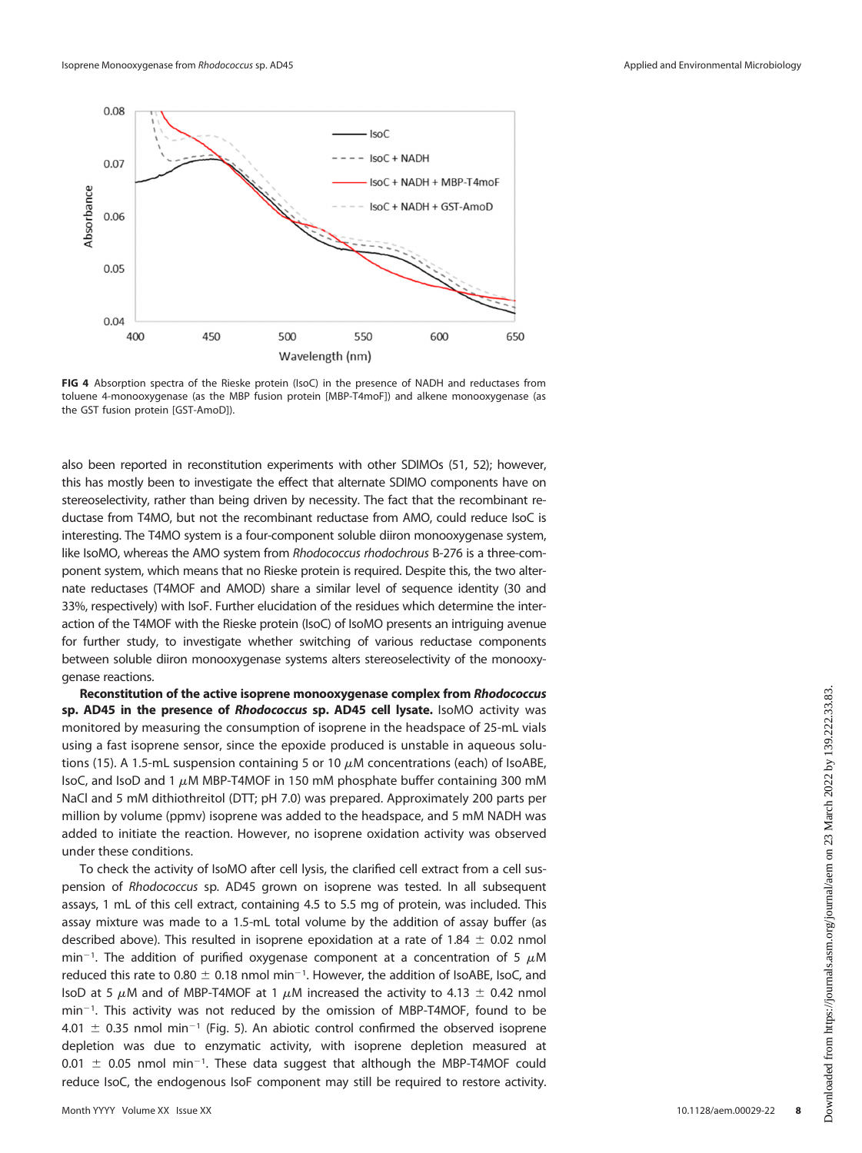

<span id="page-7-0"></span>FIG 4 Absorption spectra of the Rieske protein (IsoC) in the presence of NADH and reductases from toluene 4-monooxygenase (as the MBP fusion protein [MBP-T4moF]) and alkene monooxygenase (as the GST fusion protein [GST-AmoD]).

also been reported in reconstitution experiments with other SDIMOs [\(51,](#page-13-31) [52\)](#page-13-32); however, this has mostly been to investigate the effect that alternate SDIMO components have on stereoselectivity, rather than being driven by necessity. The fact that the recombinant reductase from T4MO, but not the recombinant reductase from AMO, could reduce IsoC is interesting. The T4MO system is a four-component soluble diiron monooxygenase system, like IsoMO, whereas the AMO system from Rhodococcus rhodochrous B-276 is a three-component system, which means that no Rieske protein is required. Despite this, the two alternate reductases (T4MOF and AMOD) share a similar level of sequence identity (30 and 33%, respectively) with IsoF. Further elucidation of the residues which determine the interaction of the T4MOF with the Rieske protein (IsoC) of IsoMO presents an intriguing avenue for further study, to investigate whether switching of various reductase components between soluble diiron monooxygenase systems alters stereoselectivity of the monooxygenase reactions.

Reconstitution of the active isoprene monooxygenase complex from Rhodococcus sp. AD45 in the presence of Rhodococcus sp. AD45 cell lysate. IsoMO activity was monitored by measuring the consumption of isoprene in the headspace of 25-mL vials using a fast isoprene sensor, since the epoxide produced is unstable in aqueous solu-tions ([15\)](#page-13-0). A 1.5-mL suspension containing 5 or 10  $\mu$ M concentrations (each) of IsoABE, IsoC, and IsoD and 1  $\mu$ M MBP-T4MOF in 150 mM phosphate buffer containing 300 mM NaCl and 5 mM dithiothreitol (DTT; pH 7.0) was prepared. Approximately 200 parts per million by volume (ppmv) isoprene was added to the headspace, and 5 mM NADH was added to initiate the reaction. However, no isoprene oxidation activity was observed under these conditions.

To check the activity of IsoMO after cell lysis, the clarified cell extract from a cell suspension of Rhodococcus sp. AD45 grown on isoprene was tested. In all subsequent assays, 1 mL of this cell extract, containing 4.5 to 5.5 mg of protein, was included. This assay mixture was made to a 1.5-mL total volume by the addition of assay buffer (as described above). This resulted in isoprene epoxidation at a rate of 1.84  $\pm$  0.02 nmol min<sup>-1</sup>. The addition of purified oxygenase component at a concentration of 5  $\mu$ M reduced this rate to 0.80  $\pm$  0.18 nmol min<sup>-1</sup>. However, the addition of IsoABE, IsoC, and IsoD at 5  $\mu$ M and of MBP-T4MOF at 1  $\mu$ M increased the activity to 4.13  $\pm$  0.42 nmol min<sup>-1</sup>. This activity was not reduced by the omission of MBP-T4MOF, found to be 4.01  $\pm$  0.35 nmol min<sup>-1</sup> [\(Fig. 5\)](#page-8-0). An abiotic control confirmed the observed isoprene depletion was due to enzymatic activity, with isoprene depletion measured at  $0.01 \pm 0.05$  nmol min<sup>-1</sup>. These data suggest that although the MBP-T4MOF could reduce IsoC, the endogenous IsoF component may still be required to restore activity.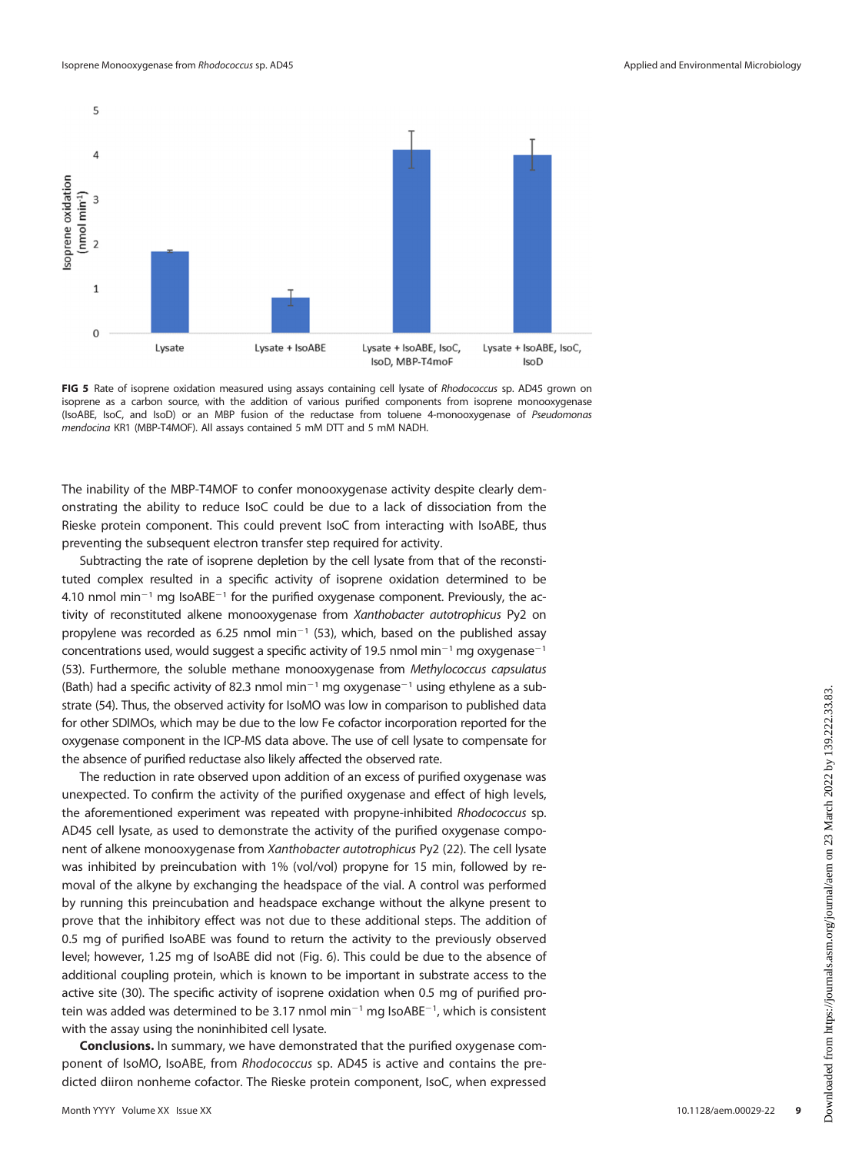

<span id="page-8-0"></span>FIG 5 Rate of isoprene oxidation measured using assays containing cell lysate of Rhodococcus sp. AD45 grown on isoprene as a carbon source, with the addition of various purified components from isoprene monooxygenase (IsoABE, IsoC, and IsoD) or an MBP fusion of the reductase from toluene 4-monooxygenase of Pseudomonas mendocina KR1 (MBP-T4MOF). All assays contained 5 mM DTT and 5 mM NADH.

The inability of the MBP-T4MOF to confer monooxygenase activity despite clearly demonstrating the ability to reduce IsoC could be due to a lack of dissociation from the Rieske protein component. This could prevent IsoC from interacting with IsoABE, thus preventing the subsequent electron transfer step required for activity.

Subtracting the rate of isoprene depletion by the cell lysate from that of the reconstituted complex resulted in a specific activity of isoprene oxidation determined to be 4.10 nmol min<sup>-1</sup> mg IsoABE<sup>-1</sup> for the purified oxygenase component. Previously, the activity of reconstituted alkene monooxygenase from Xanthobacter autotrophicus Py2 on propylene was recorded as 6.25 nmol min<sup>-1</sup> [\(53](#page-13-33)), which, based on the published assay concentrations used, would suggest a specific activity of 19.5 nmol min<sup>-1</sup> mg oxygenase<sup>-1</sup> [\(53](#page-13-33)). Furthermore, the soluble methane monooxygenase from Methylococcus capsulatus (Bath) had a specific activity of 82.3 nmol min<sup>-1</sup> mg oxygenase<sup>-1</sup> using ethylene as a substrate [\(54\)](#page-13-34). Thus, the observed activity for IsoMO was low in comparison to published data for other SDIMOs, which may be due to the low Fe cofactor incorporation reported for the oxygenase component in the ICP-MS data above. The use of cell lysate to compensate for the absence of purified reductase also likely affected the observed rate.

The reduction in rate observed upon addition of an excess of purified oxygenase was unexpected. To confirm the activity of the purified oxygenase and effect of high levels, the aforementioned experiment was repeated with propyne-inhibited Rhodococcus sp. AD45 cell lysate, as used to demonstrate the activity of the purified oxygenase component of alkene monooxygenase from Xanthobacter autotrophicus Py2 [\(22](#page-13-7)). The cell lysate was inhibited by preincubation with 1% (vol/vol) propyne for 15 min, followed by removal of the alkyne by exchanging the headspace of the vial. A control was performed by running this preincubation and headspace exchange without the alkyne present to prove that the inhibitory effect was not due to these additional steps. The addition of 0.5 mg of purified IsoABE was found to return the activity to the previously observed level; however, 1.25 mg of IsoABE did not ([Fig. 6](#page-9-0)). This could be due to the absence of additional coupling protein, which is known to be important in substrate access to the active site ([30](#page-13-15)). The specific activity of isoprene oxidation when 0.5 mg of purified protein was added was determined to be 3.17 nmol min<sup>-1</sup> mg IsoABE<sup>-1</sup>, which is consistent with the assay using the noninhibited cell lysate.

Conclusions. In summary, we have demonstrated that the purified oxygenase component of IsoMO, IsoABE, from Rhodococcus sp. AD45 is active and contains the predicted diiron nonheme cofactor. The Rieske protein component, IsoC, when expressed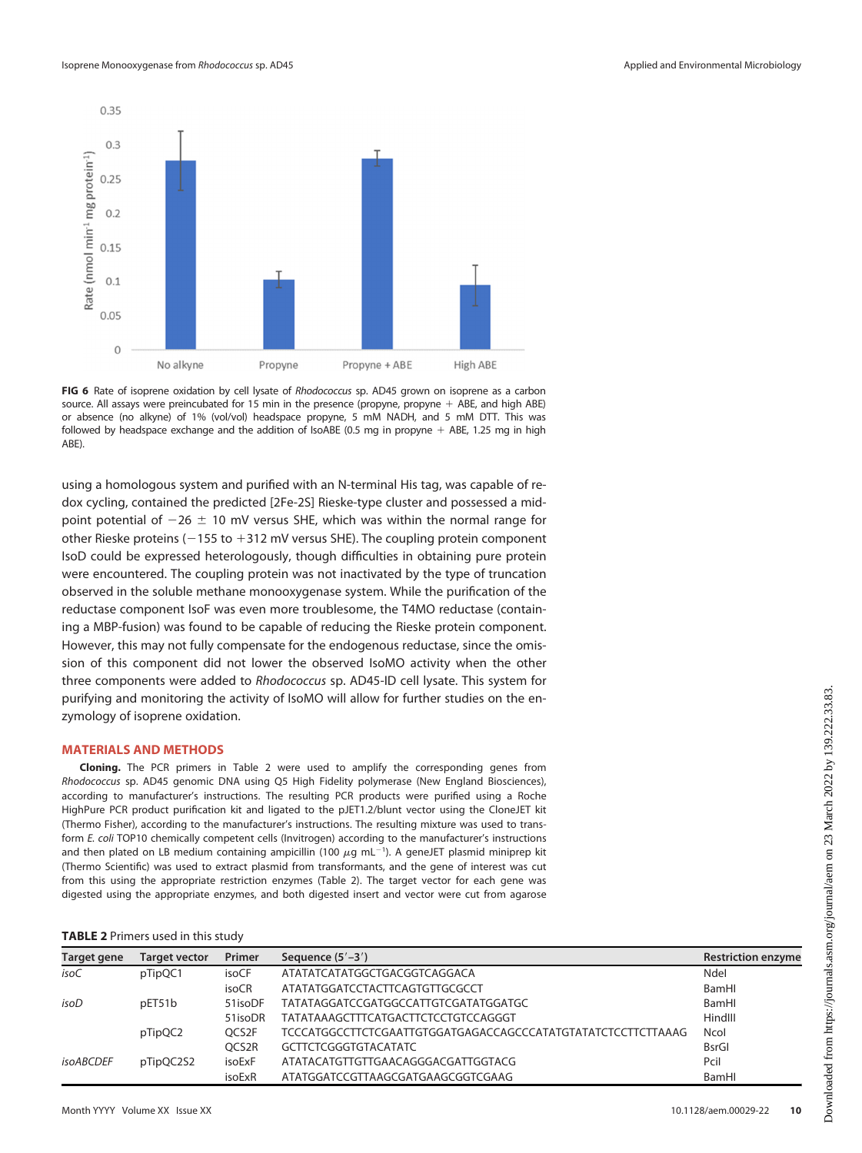

<span id="page-9-0"></span>FIG 6 Rate of isoprene oxidation by cell lysate of Rhodococcus sp. AD45 grown on isoprene as a carbon source. All assays were preincubated for 15 min in the presence (propyne, propyne  $+$  ABE, and high ABE) or absence (no alkyne) of 1% (vol/vol) headspace propyne, 5 mM NADH, and 5 mM DTT. This was followed by headspace exchange and the addition of IsoABE (0.5 mg in propyne  $+$  ABE, 1.25 mg in high ABE).

using a homologous system and purified with an N-terminal His tag, was capable of redox cycling, contained the predicted [2Fe-2S] Rieske-type cluster and possessed a midpoint potential of  $-26 \pm 10$  mV versus SHE, which was within the normal range for other Rieske proteins ( $-155$  to  $+312$  mV versus SHE). The coupling protein component IsoD could be expressed heterologously, though difficulties in obtaining pure protein were encountered. The coupling protein was not inactivated by the type of truncation observed in the soluble methane monooxygenase system. While the purification of the reductase component IsoF was even more troublesome, the T4MO reductase (containing a MBP-fusion) was found to be capable of reducing the Rieske protein component. However, this may not fully compensate for the endogenous reductase, since the omission of this component did not lower the observed IsoMO activity when the other three components were added to Rhodococcus sp. AD45-ID cell lysate. This system for purifying and monitoring the activity of IsoMO will allow for further studies on the enzymology of isoprene oxidation.

#### MATERIALS AND METHODS

Cloning. The PCR primers in [Table 2](#page-9-1) were used to amplify the corresponding genes from Rhodococcus sp. AD45 genomic DNA using Q5 High Fidelity polymerase (New England Biosciences), according to manufacturer's instructions. The resulting PCR products were purified using a Roche HighPure PCR product purification kit and ligated to the pJET1.2/blunt vector using the CloneJET kit (Thermo Fisher), according to the manufacturer's instructions. The resulting mixture was used to transform E. coli TOP10 chemically competent cells (Invitrogen) according to the manufacturer's instructions and then plated on LB medium containing ampicillin (100  $\mu$ g mL<sup>-1</sup>). A geneJET plasmid miniprep kit (Thermo Scientific) was used to extract plasmid from transformants, and the gene of interest was cut from this using the appropriate restriction enzymes ([Table 2](#page-9-1)). The target vector for each gene was digested using the appropriate enzymes, and both digested insert and vector were cut from agarose

<span id="page-9-1"></span>

|  |  |  | TABLE 2 Primers used in this study |  |  |  |  |
|--|--|--|------------------------------------|--|--|--|--|
|--|--|--|------------------------------------|--|--|--|--|

| Target gene      | <b>Target vector</b> | Primer  | Sequence $(5' - 3')$                                         | <b>Restriction enzyme</b> |
|------------------|----------------------|---------|--------------------------------------------------------------|---------------------------|
| isoC             | pTipQC1              | isoCF   | ATATATCATATGGCTGACGGTCAGGACA                                 | Ndel                      |
|                  |                      | isoCR   | ATATATGGATCCTACTTCAGTGTTGCGCCT                               | BamHI                     |
| isoD             | pET51b               | 51isoDF | TATATAGGATCCGATGGCCATTGTCGATATGGATGC                         | BamHI                     |
|                  |                      | 51isoDR | TATATAAAGCTTTCATGACTTCTCCTGTCCAGGGT                          | HindIII                   |
|                  | pTipQC2              | OCS2F   | TCCCATGGCCTTCTCGAATTGTGGATGAGACCAGCCCATATGTATATCTCCTTCTTAAAG | Ncol                      |
|                  |                      | OCS2R   | <b>GCTTCTCGGGTGTACATATC</b>                                  | <b>BsrGI</b>              |
| <i>isoABCDEF</i> | pTipQC2S2            | isoExF  | ATATACATGTTGTTGAACAGGGACGATTGGTACG                           | Pcil                      |
|                  |                      | isoExR  | ATATGGATCCGTTAAGCGATGAAGCGGTCGAAG                            | BamHI                     |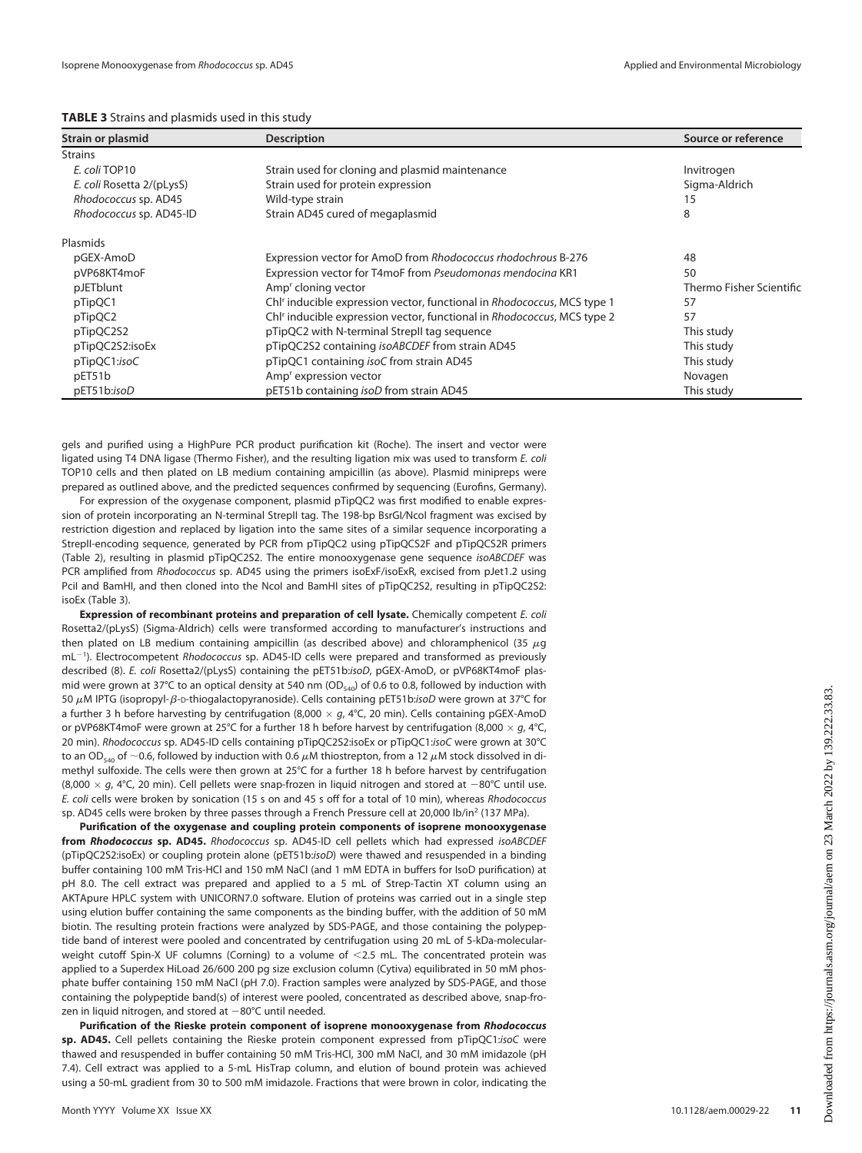<span id="page-10-0"></span>

|  | TABLE 3 Strains and plasmids used in this study |
|--|-------------------------------------------------|
|--|-------------------------------------------------|

| Strain or plasmid         | <b>Description</b>                                                                  | Source or reference      |
|---------------------------|-------------------------------------------------------------------------------------|--------------------------|
| <b>Strains</b>            |                                                                                     |                          |
| E. coli TOP10             | Strain used for cloning and plasmid maintenance                                     | Invitrogen               |
| E. coli Rosetta 2/(pLysS) | Strain used for protein expression                                                  | Sigma-Aldrich            |
| Rhodococcus sp. AD45      | Wild-type strain                                                                    | 15                       |
| Rhodococcus sp. AD45-ID   | Strain AD45 cured of megaplasmid                                                    | 8                        |
| Plasmids                  |                                                                                     |                          |
| pGEX-AmoD                 | Expression vector for AmoD from Rhodococcus rhodochrous B-276                       | 48                       |
| pVP68KT4moF               | Expression vector for T4moF from Pseudomonas mendocina KR1                          | 50                       |
| pJETblunt                 | Amp <sup>r</sup> cloning vector                                                     | Thermo Fisher Scientific |
| pTipQC1                   | Chl' inducible expression vector, functional in Rhodococcus, MCS type 1             | 57                       |
| pTipQC2                   | Chl <sup>r</sup> inducible expression vector, functional in Rhodococcus, MCS type 2 | 57                       |
| pTipQC2S2                 | pTipQC2 with N-terminal StrepII tag sequence                                        | This study               |
| pTipQC2S2:isoEx           | pTipQC2S2 containing isoABCDEF from strain AD45                                     | This study               |
| pTipQC1:isoC              | pTipQC1 containing isoC from strain AD45                                            | This study               |
| pET51b                    | Amp <sup>r</sup> expression vector                                                  | Novagen                  |
| pET51b:isoD               | pET51b containing isoD from strain AD45                                             | This study               |

gels and purified using a HighPure PCR product purification kit (Roche). The insert and vector were ligated using T4 DNA ligase (Thermo Fisher), and the resulting ligation mix was used to transform E. coli TOP10 cells and then plated on LB medium containing ampicillin (as above). Plasmid minipreps were prepared as outlined above, and the predicted sequences confirmed by sequencing (Eurofins, Germany).

For expression of the oxygenase component, plasmid pTipQC2 was first modified to enable expression of protein incorporating an N-terminal StrepII tag. The 198-bp BsrGI/Ncol fragment was excised by restriction digestion and replaced by ligation into the same sites of a similar sequence incorporating a StrepII-encoding sequence, generated by PCR from pTipQC2 using pTipQCS2F and pTipQCS2R primers [\(Table 2\)](#page-9-1), resulting in plasmid pTipQC2S2. The entire monooxygenase gene sequence isoABCDEF was PCR amplified from Rhodococcus sp. AD45 using the primers isoExF/isoExR, excised from pJet1.2 using Pcil and BamHI, and then cloned into the NcoI and BamHI sites of pTipQC2S2, resulting in pTipQC2S2: isoEx ([Table 3\)](#page-10-0).

Expression of recombinant proteins and preparation of cell lysate. Chemically competent E. coli Rosetta2/(pLysS) (Sigma-Aldrich) cells were transformed according to manufacturer's instructions and then plated on LB medium containing ampicillin (as described above) and chloramphenicol (35  $\mu$ g mL<sup>-1</sup>). Electrocompetent Rhodococcus sp. AD45-ID cells were prepared and transformed as previously described [\(8](#page-12-7)). E. coli Rosetta2/(pLysS) containing the pET51b:isoD, pGEX-AmoD, or pVP68KT4moF plasmid were grown at 37°C to an optical density at 540 nm (OD<sub>540</sub>) of 0.6 to 0.8, followed by induction with 50  $\mu$ M IPTG (isopropyl- $\beta$ -D-thiogalactopyranoside). Cells containing pET51b:isoD were grown at 37°C for a further 3 h before harvesting by centrifugation (8,000  $\times$  g, 4°C, 20 min). Cells containing pGEX-AmoD or pVP68KT4moF were grown at 25°C for a further 18 h before harvest by centrifugation (8,000  $\times$  g, 4°C, 20 min). Rhodococcus sp. AD45-ID cells containing pTipQC2S2:isoEx or pTipQC1:isoC were grown at 30°C to an OD<sub>540</sub> of ~0.6, followed by induction with 0.6  $\mu$ M thiostrepton, from a 12  $\mu$ M stock dissolved in dimethyl sulfoxide. The cells were then grown at 25°C for a further 18 h before harvest by centrifugation (8,000  $\times$  g, 4°C, 20 min). Cell pellets were snap-frozen in liquid nitrogen and stored at -80°C until use. E. coli cells were broken by sonication (15 s on and 45 s off for a total of 10 min), whereas Rhodococcus sp. AD45 cells were broken by three passes through a French Pressure cell at 20,000 lb/in<sup>2</sup> (137 MPa).

Purification of the oxygenase and coupling protein components of isoprene monooxygenase from Rhodococcus sp. AD45. Rhodococcus sp. AD45-ID cell pellets which had expressed isoABCDEF (pTipQC2S2:isoEx) or coupling protein alone (pET51b:isoD) were thawed and resuspended in a binding buffer containing 100 mM Tris-HCl and 150 mM NaCl (and 1 mM EDTA in buffers for IsoD purification) at pH 8.0. The cell extract was prepared and applied to a 5 mL of Strep-Tactin XT column using an AKTApure HPLC system with UNICORN7.0 software. Elution of proteins was carried out in a single step using elution buffer containing the same components as the binding buffer, with the addition of 50 mM biotin. The resulting protein fractions were analyzed by SDS-PAGE, and those containing the polypeptide band of interest were pooled and concentrated by centrifugation using 20 mL of 5-kDa-molecularweight cutoff Spin-X UF columns (Corning) to a volume of  $<$ 2.5 mL. The concentrated protein was applied to a Superdex HiLoad 26/600 200 pg size exclusion column (Cytiva) equilibrated in 50 mM phosphate buffer containing 150 mM NaCl (pH 7.0). Fraction samples were analyzed by SDS-PAGE, and those containing the polypeptide band(s) of interest were pooled, concentrated as described above, snap-frozen in liquid nitrogen, and stored at  $-80^{\circ}$ C until needed.

Purification of the Rieske protein component of isoprene monooxygenase from Rhodococcus sp. AD45. Cell pellets containing the Rieske protein component expressed from pTipQC1:isoC were thawed and resuspended in buffer containing 50 mM Tris-HCl, 300 mM NaCl, and 30 mM imidazole (pH 7.4). Cell extract was applied to a 5-mL HisTrap column, and elution of bound protein was achieved using a 50-mL gradient from 30 to 500 mM imidazole. Fractions that were brown in color, indicating the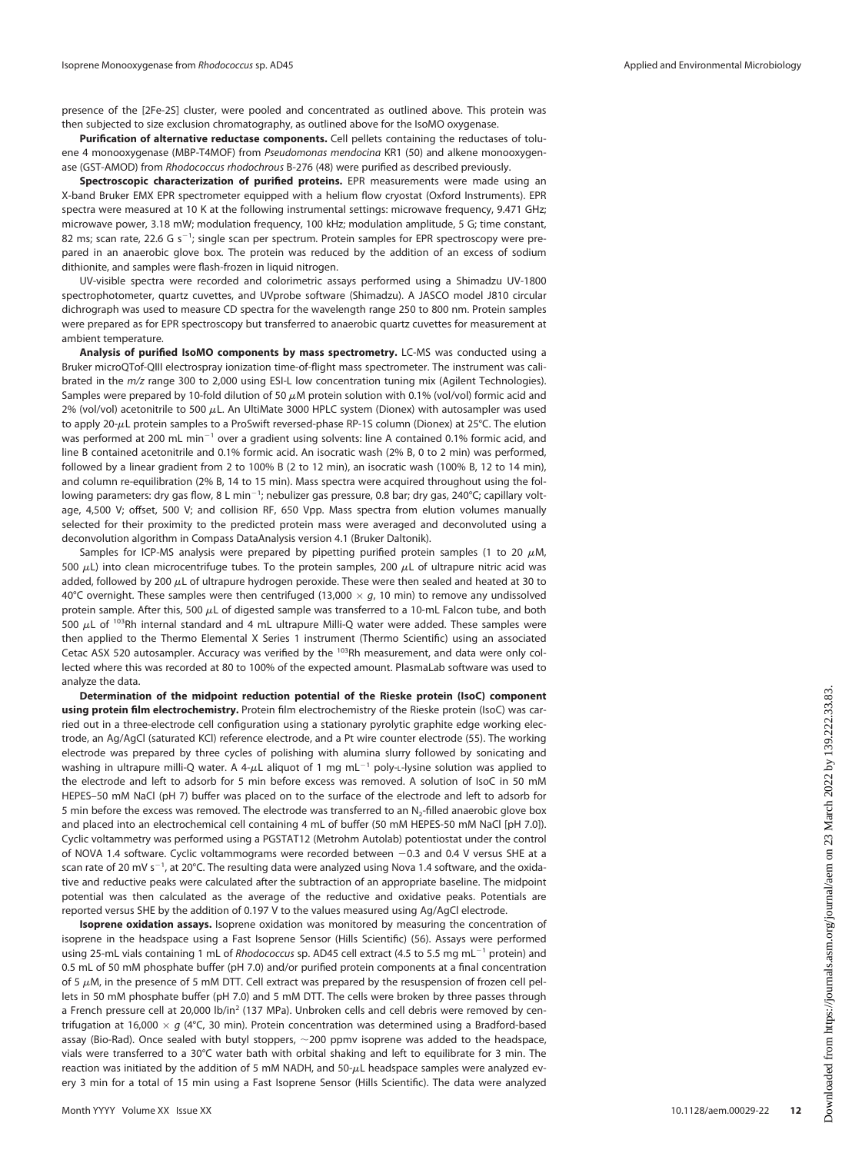presence of the [2Fe-2S] cluster, were pooled and concentrated as outlined above. This protein was then subjected to size exclusion chromatography, as outlined above for the IsoMO oxygenase.

Purification of alternative reductase components. Cell pellets containing the reductases of tolu-ene 4 monooxygenase (MBP-T4MOF) from Pseudomonas mendocina KR1 [\(50](#page-13-30)) and alkene monooxygenase (GST-AMOD) from Rhodococcus rhodochrous B-276 ([48](#page-13-28)) were purified as described previously.

Spectroscopic characterization of purified proteins. EPR measurements were made using an X-band Bruker EMX EPR spectrometer equipped with a helium flow cryostat (Oxford Instruments). EPR spectra were measured at 10 K at the following instrumental settings: microwave frequency, 9.471 GHz; microwave power, 3.18 mW; modulation frequency, 100 kHz; modulation amplitude, 5 G; time constant, 82 ms; scan rate, 22.6 G s<sup>-1</sup>; single scan per spectrum. Protein samples for EPR spectroscopy were prepared in an anaerobic glove box. The protein was reduced by the addition of an excess of sodium dithionite, and samples were flash-frozen in liquid nitrogen.

UV-visible spectra were recorded and colorimetric assays performed using a Shimadzu UV-1800 spectrophotometer, quartz cuvettes, and UVprobe software (Shimadzu). A JASCO model J810 circular dichrograph was used to measure CD spectra for the wavelength range 250 to 800 nm. Protein samples were prepared as for EPR spectroscopy but transferred to anaerobic quartz cuvettes for measurement at ambient temperature.

Analysis of purified IsoMO components by mass spectrometry. LC-MS was conducted using a Bruker microQTof-QIII electrospray ionization time-of-flight mass spectrometer. The instrument was calibrated in the *m/z* range 300 to 2,000 using ESI-L low concentration tuning mix (Agilent Technologies). Samples were prepared by 10-fold dilution of 50  $\mu$ M protein solution with 0.1% (vol/vol) formic acid and 2% (vol/vol) acetonitrile to 500  $\mu$ L. An UltiMate 3000 HPLC system (Dionex) with autosampler was used to apply 20- $\mu$ L protein samples to a ProSwift reversed-phase RP-1S column (Dionex) at 25°C. The elution was performed at 200 mL min<sup>-1</sup> over a gradient using solvents: line A contained 0.1% formic acid, and line B contained acetonitrile and 0.1% formic acid. An isocratic wash (2% B, 0 to 2 min) was performed, followed by a linear gradient from 2 to 100% B (2 to 12 min), an isocratic wash (100% B, 12 to 14 min), and column re-equilibration (2% B, 14 to 15 min). Mass spectra were acquired throughout using the following parameters: dry gas flow, 8 L min $^{-1}$ ; nebulizer gas pressure, 0.8 bar; dry gas, 240°C; capillary voltage, 4,500 V; offset, 500 V; and collision RF, 650 Vpp. Mass spectra from elution volumes manually selected for their proximity to the predicted protein mass were averaged and deconvoluted using a deconvolution algorithm in Compass DataAnalysis version 4.1 (Bruker Daltonik).

Samples for ICP-MS analysis were prepared by pipetting purified protein samples (1 to 20  $\mu$ M, 500  $\mu$ L) into clean microcentrifuge tubes. To the protein samples, 200  $\mu$ L of ultrapure nitric acid was added, followed by 200  $\mu$ L of ultrapure hydrogen peroxide. These were then sealed and heated at 30 to 40°C overnight. These samples were then centrifuged (13,000  $\times$  g, 10 min) to remove any undissolved protein sample. After this, 500  $\mu$ L of digested sample was transferred to a 10-mL Falcon tube, and both 500  $\mu$ L of <sup>103</sup>Rh internal standard and 4 mL ultrapure Milli-Q water were added. These samples were then applied to the Thermo Elemental X Series 1 instrument (Thermo Scientific) using an associated Cetac ASX 520 autosampler. Accuracy was verified by the <sup>103</sup>Rh measurement, and data were only collected where this was recorded at 80 to 100% of the expected amount. PlasmaLab software was used to analyze the data.

Determination of the midpoint reduction potential of the Rieske protein (IsoC) component using protein film electrochemistry. Protein film electrochemistry of the Rieske protein (IsoC) was carried out in a three-electrode cell configuration using a stationary pyrolytic graphite edge working electrode, an Ag/AgCl (saturated KCl) reference electrode, and a Pt wire counter electrode [\(55\)](#page-14-1). The working electrode was prepared by three cycles of polishing with alumina slurry followed by sonicating and washing in ultrapure milli-Q water. A 4- $\mu$ L aliquot of 1 mg mL<sup>-1</sup> poly-L-lysine solution was applied to the electrode and left to adsorb for 5 min before excess was removed. A solution of IsoC in 50 mM HEPES–50 mM NaCl (pH 7) buffer was placed on to the surface of the electrode and left to adsorb for 5 min before the excess was removed. The electrode was transferred to an N<sub>2</sub>-filled anaerobic glove box and placed into an electrochemical cell containing 4 mL of buffer (50 mM HEPES-50 mM NaCl [pH 7.0]). Cyclic voltammetry was performed using a PGSTAT12 (Metrohm Autolab) potentiostat under the control of NOVA 1.4 software. Cyclic voltammograms were recorded between -0.3 and 0.4 V versus SHE at a scan rate of 20 mV s<sup>-1</sup>, at 20°C. The resulting data were analyzed using Nova 1.4 software, and the oxidative and reductive peaks were calculated after the subtraction of an appropriate baseline. The midpoint potential was then calculated as the average of the reductive and oxidative peaks. Potentials are reported versus SHE by the addition of 0.197 V to the values measured using Ag/AgCl electrode.

Isoprene oxidation assays. Isoprene oxidation was monitored by measuring the concentration of isoprene in the headspace using a Fast Isoprene Sensor (Hills Scientific) [\(56\)](#page-14-2). Assays were performed using 25-mL vials containing 1 mL of Rhodococcus sp. AD45 cell extract (4.5 to 5.5 mg mL<sup>-1</sup> protein) and 0.5 mL of 50 mM phosphate buffer (pH 7.0) and/or purified protein components at a final concentration of 5  $\mu$ M, in the presence of 5 mM DTT. Cell extract was prepared by the resuspension of frozen cell pellets in 50 mM phosphate buffer (pH 7.0) and 5 mM DTT. The cells were broken by three passes through a French pressure cell at 20,000 lb/in<sup>2</sup> (137 MPa). Unbroken cells and cell debris were removed by centrifugation at 16,000  $\times$  g (4°C, 30 min). Protein concentration was determined using a Bradford-based assay (Bio-Rad). Once sealed with butyl stoppers,  $\sim$ 200 ppmv isoprene was added to the headspace, vials were transferred to a 30°C water bath with orbital shaking and left to equilibrate for 3 min. The reaction was initiated by the addition of 5 mM NADH, and 50- $\mu$ L headspace samples were analyzed every 3 min for a total of 15 min using a Fast Isoprene Sensor (Hills Scientific). The data were analyzed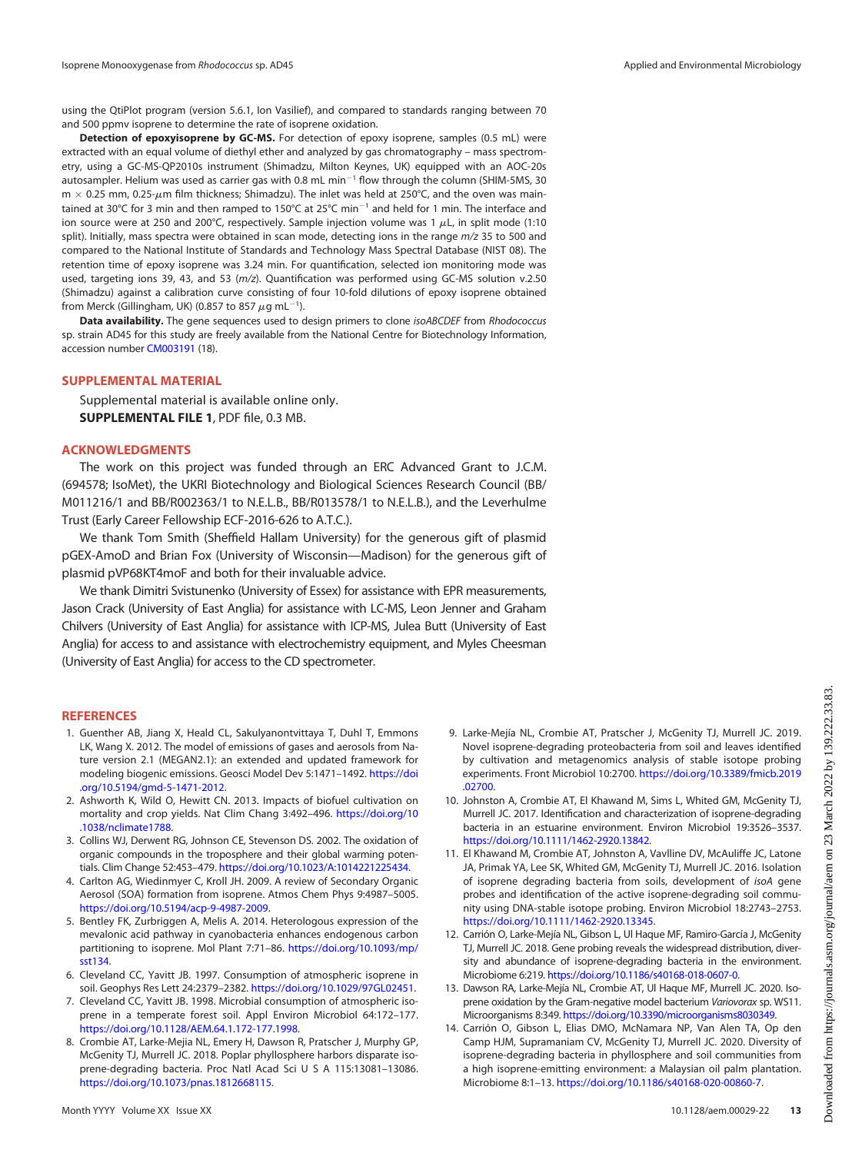using the QtiPlot program (version 5.6.1, Ion Vasilief), and compared to standards ranging between 70 and 500 ppmv isoprene to determine the rate of isoprene oxidation.

Detection of epoxyisoprene by GC-MS. For detection of epoxy isoprene, samples (0.5 mL) were extracted with an equal volume of diethyl ether and analyzed by gas chromatography – mass spectrometry, using a GC-MS-QP2010s instrument (Shimadzu, Milton Keynes, UK) equipped with an AOC-20s autosampler. Helium was used as carrier gas with 0.8 mL min<sup>-1</sup> flow through the column (SHIM-5MS, 30  $m \times 0.25$  mm, 0.25- $\mu$ m film thickness; Shimadzu). The inlet was held at 250°C, and the oven was maintained at 30°C for 3 min and then ramped to 150°C at 25°C min<sup>-1</sup> and held for 1 min. The interface and ion source were at 250 and 200°C, respectively. Sample injection volume was 1  $\mu$ L, in split mode (1:10 split). Initially, mass spectra were obtained in scan mode, detecting ions in the range  $m/z$  35 to 500 and compared to the National Institute of Standards and Technology Mass Spectral Database (NIST 08). The retention time of epoxy isoprene was 3.24 min. For quantification, selected ion monitoring mode was used, targeting ions 39, 43, and 53 (m/z). Quantification was performed using GC-MS solution v.2.50 (Shimadzu) against a calibration curve consisting of four 10-fold dilutions of epoxy isoprene obtained from Merck (Gillingham, UK) (0.857 to 857  $\mu$ g mL $^{-1}$ ).

Data availability. The gene sequences used to design primers to clone isoABCDEF from Rhodococcus sp. strain AD45 for this study are freely available from the National Centre for Biotechnology Information, accession number [CM003191](https://www.ncbi.nlm.nih.gov/nuccore/CM003191) ([18](#page-13-3)).

### SUPPLEMENTAL MATERIAL

Supplemental material is available online only. SUPPLEMENTAL FILE 1, PDF file, 0.3 MB.

## ACKNOWLEDGMENTS

The work on this project was funded through an ERC Advanced Grant to J.C.M. (694578; IsoMet), the UKRI Biotechnology and Biological Sciences Research Council (BB/ M011216/1 and BB/R002363/1 to N.E.L.B., BB/R013578/1 to N.E.L.B.), and the Leverhulme Trust (Early Career Fellowship ECF-2016-626 to A.T.C.).

We thank Tom Smith (Sheffield Hallam University) for the generous gift of plasmid pGEX-AmoD and Brian Fox (University of Wisconsin—Madison) for the generous gift of plasmid pVP68KT4moF and both for their invaluable advice.

We thank Dimitri Svistunenko (University of Essex) for assistance with EPR measurements, Jason Crack (University of East Anglia) for assistance with LC-MS, Leon Jenner and Graham Chilvers (University of East Anglia) for assistance with ICP-MS, Julea Butt (University of East Anglia) for access to and assistance with electrochemistry equipment, and Myles Cheesman (University of East Anglia) for access to the CD spectrometer.

## REFERENCES

- <span id="page-12-0"></span>1. Guenther AB, Jiang X, Heald CL, Sakulyanontvittaya T, Duhl T, Emmons LK, Wang X. 2012. The model of emissions of gases and aerosols from Nature version 2.1 (MEGAN2.1): an extended and updated framework for modeling biogenic emissions. Geosci Model Dev 5:1471–1492. [https://doi](https://doi.org/10.5194/gmd-5-1471-2012) [.org/10.5194/gmd-5-1471-2012](https://doi.org/10.5194/gmd-5-1471-2012).
- <span id="page-12-1"></span>2. Ashworth K, Wild O, Hewitt CN. 2013. Impacts of biofuel cultivation on mortality and crop yields. Nat Clim Chang 3:492–496. [https://doi.org/10](https://doi.org/10.1038/nclimate1788) [.1038/nclimate1788](https://doi.org/10.1038/nclimate1788).
- <span id="page-12-2"></span>3. Collins WJ, Derwent RG, Johnson CE, Stevenson DS. 2002. The oxidation of organic compounds in the troposphere and their global warming potentials. Clim Change 52:453–479. <https://doi.org/10.1023/A:1014221225434>.
- <span id="page-12-3"></span>4. Carlton AG, Wiedinmyer C, Kroll JH. 2009. A review of Secondary Organic Aerosol (SOA) formation from isoprene. Atmos Chem Phys 9:4987–5005. <https://doi.org/10.5194/acp-9-4987-2009>.
- <span id="page-12-4"></span>5. Bentley FK, Zurbriggen A, Melis A. 2014. Heterologous expression of the mevalonic acid pathway in cyanobacteria enhances endogenous carbon partitioning to isoprene. Mol Plant 7:71–86. [https://doi.org/10.1093/mp/](https://doi.org/10.1093/mp/sst134) [sst134.](https://doi.org/10.1093/mp/sst134)
- <span id="page-12-5"></span>6. Cleveland CC, Yavitt JB. 1997. Consumption of atmospheric isoprene in soil. Geophys Res Lett 24:2379–2382. <https://doi.org/10.1029/97GL02451>.
- <span id="page-12-6"></span>7. Cleveland CC, Yavitt JB. 1998. Microbial consumption of atmospheric isoprene in a temperate forest soil. Appl Environ Microbiol 64:172–177. <https://doi.org/10.1128/AEM.64.1.172-177.1998>.
- <span id="page-12-7"></span>8. Crombie AT, Larke-Mejia NL, Emery H, Dawson R, Pratscher J, Murphy GP, McGenity TJ, Murrell JC. 2018. Poplar phyllosphere harbors disparate isoprene-degrading bacteria. Proc Natl Acad Sci U S A 115:13081–13086. <https://doi.org/10.1073/pnas.1812668115>.
- <span id="page-12-10"></span>9. Larke-Mejía NL, Crombie AT, Pratscher J, McGenity TJ, Murrell JC. 2019. Novel isoprene-degrading proteobacteria from soil and leaves identified by cultivation and metagenomics analysis of stable isotope probing experiments. Front Microbiol 10:2700. [https://doi.org/10.3389/fmicb.2019](https://doi.org/10.3389/fmicb.2019.02700) [.02700.](https://doi.org/10.3389/fmicb.2019.02700)
- <span id="page-12-13"></span>10. Johnston A, Crombie AT, El Khawand M, Sims L, Whited GM, McGenity TJ, Murrell JC. 2017. Identification and characterization of isoprene-degrading bacteria in an estuarine environment. Environ Microbiol 19:3526–3537. [https://doi.org/10.1111/1462-2920.13842.](https://doi.org/10.1111/1462-2920.13842)
- <span id="page-12-8"></span>11. El Khawand M, Crombie AT, Johnston A, Vavlline DV, McAuliffe JC, Latone JA, Primak YA, Lee SK, Whited GM, McGenity TJ, Murrell JC. 2016. Isolation of isoprene degrading bacteria from soils, development of isoA gene probes and identification of the active isoprene-degrading soil community using DNA-stable isotope probing. Environ Microbiol 18:2743–2753. [https://doi.org/10.1111/1462-2920.13345.](https://doi.org/10.1111/1462-2920.13345)
- <span id="page-12-9"></span>12. Carrión O, Larke-Mejía NL, Gibson L, Ul Haque MF, Ramiro-García J, McGenity TJ, Murrell JC. 2018. Gene probing reveals the widespread distribution, diversity and abundance of isoprene-degrading bacteria in the environment. Microbiome 6:219. [https://doi.org/10.1186/s40168-018-0607-0.](https://doi.org/10.1186/s40168-018-0607-0)
- <span id="page-12-11"></span>13. Dawson RA, Larke-Mejía NL, Crombie AT, Ul Haque MF, Murrell JC. 2020. Isoprene oxidation by the Gram-negative model bacterium Variovorax sp. WS11. Microorganisms 8:349. [https://doi.org/10.3390/microorganisms8030349.](https://doi.org/10.3390/microorganisms8030349)
- <span id="page-12-12"></span>14. Carrión O, Gibson L, Elias DMO, McNamara NP, Van Alen TA, Op den Camp HJM, Supramaniam CV, McGenity TJ, Murrell JC. 2020. Diversity of isoprene-degrading bacteria in phyllosphere and soil communities from a high isoprene-emitting environment: a Malaysian oil palm plantation. Microbiome 8:1–13. [https://doi.org/10.1186/s40168-020-00860-7.](https://doi.org/10.1186/s40168-020-00860-7)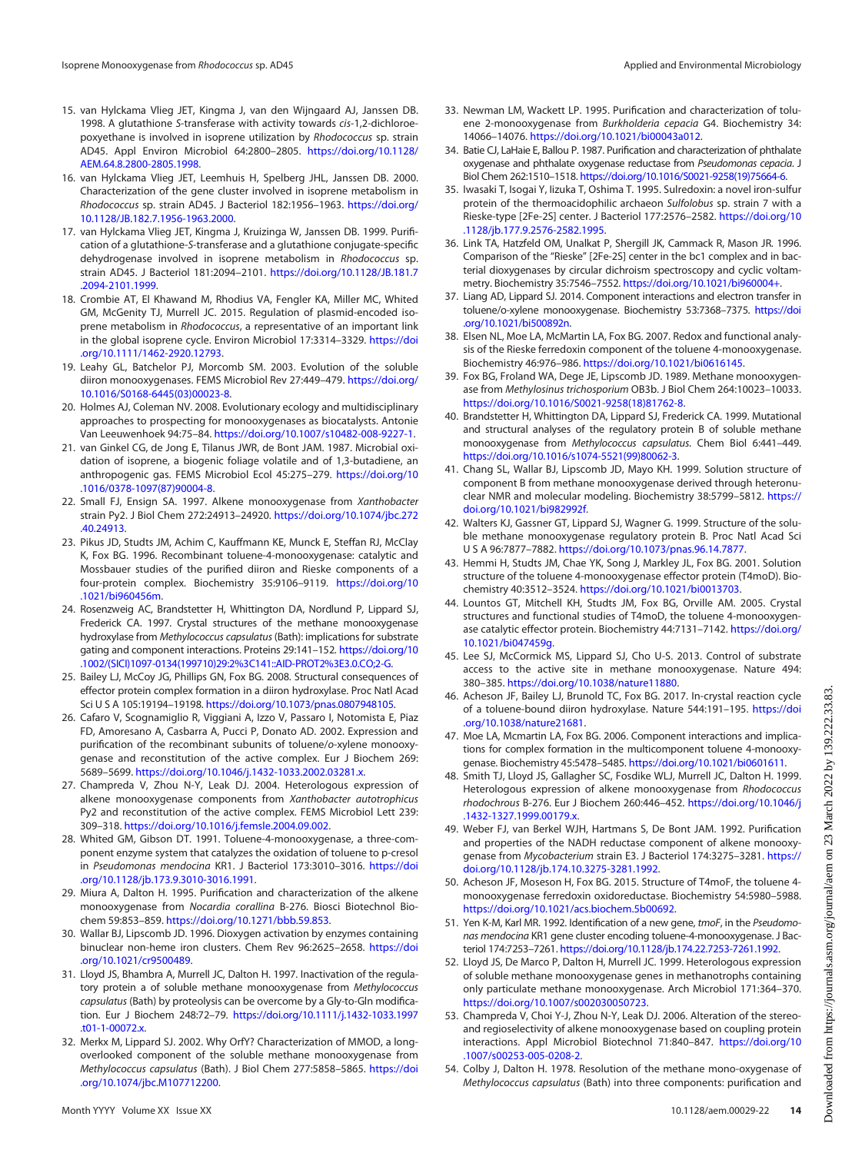- <span id="page-13-0"></span>15. van Hylckama Vlieg JET, Kingma J, van den Wijngaard AJ, Janssen DB. 1998. A glutathione S-transferase with activity towards cis-1,2-dichloroepoxyethane is involved in isoprene utilization by Rhodococcus sp. strain AD45. Appl Environ Microbiol 64:2800–2805. [https://doi.org/10.1128/](https://doi.org/10.1128/AEM.64.8.2800-2805.1998) [AEM.64.8.2800-2805.1998.](https://doi.org/10.1128/AEM.64.8.2800-2805.1998)
- <span id="page-13-1"></span>16. van Hylckama Vlieg JET, Leemhuis H, Spelberg JHL, Janssen DB. 2000. Characterization of the gene cluster involved in isoprene metabolism in Rhodococcus sp. strain AD45. J Bacteriol 182:1956-1963. [https://doi.org/](https://doi.org/10.1128/JB.182.7.1956-1963.2000) [10.1128/JB.182.7.1956-1963.2000.](https://doi.org/10.1128/JB.182.7.1956-1963.2000)
- <span id="page-13-2"></span>17. van Hylckama Vlieg JET, Kingma J, Kruizinga W, Janssen DB. 1999. Purification of a glutathione-S-transferase and a glutathione conjugate-specific dehydrogenase involved in isoprene metabolism in Rhodococcus sp. strain AD45. J Bacteriol 181:2094–2101. [https://doi.org/10.1128/JB.181.7](https://doi.org/10.1128/JB.181.7.2094-2101.1999) [.2094-2101.1999.](https://doi.org/10.1128/JB.181.7.2094-2101.1999)
- <span id="page-13-3"></span>18. Crombie AT, El Khawand M, Rhodius VA, Fengler KA, Miller MC, Whited GM, McGenity TJ, Murrell JC. 2015. Regulation of plasmid-encoded isoprene metabolism in Rhodococcus, a representative of an important link in the global isoprene cycle. Environ Microbiol 17:3314–3329. [https://doi](https://doi.org/10.1111/1462-2920.12793) [.org/10.1111/1462-2920.12793](https://doi.org/10.1111/1462-2920.12793).
- <span id="page-13-4"></span>19. Leahy GL, Batchelor PJ, Morcomb SM. 2003. Evolution of the soluble diiron monooxygenases. FEMS Microbiol Rev 27:449–479. [https://doi.org/](https://doi.org/10.1016/S0168-6445(03)00023-8) [10.1016/S0168-6445\(03\)00023-8.](https://doi.org/10.1016/S0168-6445(03)00023-8)
- <span id="page-13-5"></span>20. Holmes AJ, Coleman NV. 2008. Evolutionary ecology and multidisciplinary approaches to prospecting for monooxygenases as biocatalysts. Antonie Van Leeuwenhoek 94:75–84. [https://doi.org/10.1007/s10482-008-9227-1.](https://doi.org/10.1007/s10482-008-9227-1)
- <span id="page-13-6"></span>21. van Ginkel CG, de Jong E, Tilanus JWR, de Bont JAM. 1987. Microbial oxidation of isoprene, a biogenic foliage volatile and of 1,3-butadiene, an anthropogenic gas. FEMS Microbiol Ecol 45:275–279. [https://doi.org/10](https://doi.org/10.1016/0378-1097(87)90004-8) [.1016/0378-1097\(87\)90004-8](https://doi.org/10.1016/0378-1097(87)90004-8).
- <span id="page-13-7"></span>22. Small FJ, Ensign SA. 1997. Alkene monooxygenase from Xanthobacter strain Py2. J Biol Chem 272:24913–24920. [https://doi.org/10.1074/jbc.272](https://doi.org/10.1074/jbc.272.40.24913) [.40.24913](https://doi.org/10.1074/jbc.272.40.24913).
- <span id="page-13-8"></span>23. Pikus JD, Studts JM, Achim C, Kauffmann KE, Munck E, Steffan RJ, McClay K, Fox BG. 1996. Recombinant toluene-4-monooxygenase: catalytic and Mossbauer studies of the purified diiron and Rieske components of a four-protein complex. Biochemistry 35:9106–9119. [https://doi.org/10](https://doi.org/10.1021/bi960456m) [.1021/bi960456m](https://doi.org/10.1021/bi960456m).
- <span id="page-13-9"></span>24. Rosenzweig AC, Brandstetter H, Whittington DA, Nordlund P, Lippard SJ, Frederick CA. 1997. Crystal structures of the methane monooxygenase hydroxylase from Methylococcus capsulatus (Bath): implications for substrate gating and component interactions. Proteins 29:141–152. [https://doi.org/10](https://doi.org/10.1002/(SICI)1097-0134(199710)29:2%3C141::AID-PROT2%3E3.0.CO;2-G) [.1002/\(SICI\)1097-0134\(199710\)29:2%3C141::AID-PROT2%3E3.0.CO;2-G](https://doi.org/10.1002/(SICI)1097-0134(199710)29:2%3C141::AID-PROT2%3E3.0.CO;2-G).
- <span id="page-13-10"></span>25. Bailey LJ, McCoy JG, Phillips GN, Fox BG. 2008. Structural consequences of effector protein complex formation in a diiron hydroxylase. Proc Natl Acad Sci U S A 105:19194–19198. <https://doi.org/10.1073/pnas.0807948105>.
- <span id="page-13-11"></span>26. Cafaro V, Scognamiglio R, Viggiani A, Izzo V, Passaro I, Notomista E, Piaz FD, Amoresano A, Casbarra A, Pucci P, Donato AD. 2002. Expression and purification of the recombinant subunits of toluene/o-xylene monooxygenase and reconstitution of the active complex. Eur J Biochem 269: 5689–5699. [https://doi.org/10.1046/j.1432-1033.2002.03281.x.](https://doi.org/10.1046/j.1432-1033.2002.03281.x)
- <span id="page-13-12"></span>27. Champreda V, Zhou N-Y, Leak DJ. 2004. Heterologous expression of alkene monooxygenase components from Xanthobacter autotrophicus Py2 and reconstitution of the active complex. FEMS Microbiol Lett 239: 309–318. <https://doi.org/10.1016/j.femsle.2004.09.002>.
- <span id="page-13-13"></span>28. Whited GM, Gibson DT. 1991. Toluene-4-monooxygenase, a three-component enzyme system that catalyzes the oxidation of toluene to p-cresol in Pseudomonas mendocina KR1. J Bacteriol 173:3010–3016. [https://doi](https://doi.org/10.1128/jb.173.9.3010-3016.1991) [.org/10.1128/jb.173.9.3010-3016.1991.](https://doi.org/10.1128/jb.173.9.3010-3016.1991)
- <span id="page-13-14"></span>29. Miura A, Dalton H. 1995. Purification and characterization of the alkene monooxygenase from Nocardia corallina B-276. Biosci Biotechnol Biochem 59:853–859. <https://doi.org/10.1271/bbb.59.853>.
- <span id="page-13-15"></span>30. Wallar BJ, Lipscomb JD. 1996. Dioxygen activation by enzymes containing binuclear non-heme iron clusters. Chem Rev 96:2625–2658. [https://doi](https://doi.org/10.1021/cr9500489) [.org/10.1021/cr9500489](https://doi.org/10.1021/cr9500489).
- <span id="page-13-16"></span>31. Lloyd JS, Bhambra A, Murrell JC, Dalton H. 1997. Inactivation of the regulatory protein a of soluble methane monooxygenase from Methylococcus capsulatus (Bath) by proteolysis can be overcome by a Gly-to-Gln modification. Eur J Biochem 248:72–79. [https://doi.org/10.1111/j.1432-1033.1997](https://doi.org/10.1111/j.1432-1033.1997.t01-1-00072.x) [.t01-1-00072.x.](https://doi.org/10.1111/j.1432-1033.1997.t01-1-00072.x)
- <span id="page-13-17"></span>32. Merkx M, Lippard SJ. 2002. Why OrfY? Characterization of MMOD, a longoverlooked component of the soluble methane monooxygenase from Methylococcus capsulatus (Bath). J Biol Chem 277:5858–5865. [https://doi](https://doi.org/10.1074/jbc.M107712200) [.org/10.1074/jbc.M107712200](https://doi.org/10.1074/jbc.M107712200).
- <span id="page-13-18"></span>33. Newman LM, Wackett LP. 1995. Purification and characterization of toluene 2-monooxygenase from Burkholderia cepacia G4. Biochemistry 34: 14066–14076. <https://doi.org/10.1021/bi00043a012>.
- <span id="page-13-19"></span>34. Batie CJ, LaHaie E, Ballou P. 1987. Purification and characterization of phthalate oxygenase and phthalate oxygenase reductase from Pseudomonas cepacia. J Biol Chem 262:1510–1518. [https://doi.org/10.1016/S0021-9258\(19\)75664-6](https://doi.org/10.1016/S0021-9258(19)75664-6).
- <span id="page-13-20"></span>35. Iwasaki T, Isogai Y, Iizuka T, Oshima T. 1995. Sulredoxin: a novel iron-sulfur protein of the thermoacidophilic archaeon Sulfolobus sp. strain 7 with a Rieske-type [2Fe-2S] center. J Bacteriol 177:2576–2582. [https://doi.org/10](https://doi.org/10.1128/jb.177.9.2576-2582.1995) [.1128/jb.177.9.2576-2582.1995](https://doi.org/10.1128/jb.177.9.2576-2582.1995).
- <span id="page-13-21"></span>36. Link TA, Hatzfeld OM, Unalkat P, Shergill JK, Cammack R, Mason JR. 1996. Comparison of the "Rieske" [2Fe-2S] center in the bc1 complex and in bacterial dioxygenases by circular dichroism spectroscopy and cyclic voltammetry. Biochemistry 35:7546–7552. <https://doi.org/10.1021/bi960004+>.
- <span id="page-13-22"></span>37. Liang AD, Lippard SJ. 2014. Component interactions and electron transfer in toluene/o-xylene monooxygenase. Biochemistry 53:7368–7375. [https://doi](https://doi.org/10.1021/bi500892n) [.org/10.1021/bi500892n](https://doi.org/10.1021/bi500892n).
- <span id="page-13-23"></span>38. Elsen NL, Moe LA, McMartin LA, Fox BG. 2007. Redox and functional analysis of the Rieske ferredoxin component of the toluene 4-monooxygenase. Biochemistry 46:976–986. <https://doi.org/10.1021/bi0616145>.
- <span id="page-13-24"></span>39. Fox BG, Froland WA, Dege JE, Lipscomb JD. 1989. Methane monooxygenase from Methylosinus trichosporium OB3b. J Biol Chem 264:10023–10033. [https://doi.org/10.1016/S0021-9258\(18\)81762-8.](https://doi.org/10.1016/S0021-9258(18)81762-8)
- <span id="page-13-25"></span>40. Brandstetter H, Whittington DA, Lippard SJ, Frederick CA. 1999. Mutational and structural analyses of the regulatory protein B of soluble methane monooxygenase from Methylococcus capsulatus. Chem Biol 6:441–449. [https://doi.org/10.1016/s1074-5521\(99\)80062-3.](https://doi.org/10.1016/s1074-5521(99)80062-3)
- 41. Chang SL, Wallar BJ, Lipscomb JD, Mayo KH. 1999. Solution structure of component B from methane monooxygenase derived through heteronuclear NMR and molecular modeling. Biochemistry 38:5799–5812. [https://](https://doi.org/10.1021/bi982992f) [doi.org/10.1021/bi982992f.](https://doi.org/10.1021/bi982992f)
- 42. Walters KJ, Gassner GT, Lippard SJ, Wagner G. 1999. Structure of the soluble methane monooxygenase regulatory protein B. Proc Natl Acad Sci U S A 96:7877–7882. <https://doi.org/10.1073/pnas.96.14.7877>.
- 43. Hemmi H, Studts JM, Chae YK, Song J, Markley JL, Fox BG. 2001. Solution structure of the toluene 4-monooxygenase effector protein (T4moD). Biochemistry 40:3512–3524. [https://doi.org/10.1021/bi0013703.](https://doi.org/10.1021/bi0013703)
- 44. Lountos GT, Mitchell KH, Studts JM, Fox BG, Orville AM. 2005. Crystal structures and functional studies of T4moD, the toluene 4-monooxygenase catalytic effector protein. Biochemistry 44:7131–7142. [https://doi.org/](https://doi.org/10.1021/bi047459g) [10.1021/bi047459g.](https://doi.org/10.1021/bi047459g)
- 45. Lee SJ, McCormick MS, Lippard SJ, Cho U-S. 2013. Control of substrate access to the active site in methane monooxygenase. Nature 494: 380–385. [https://doi.org/10.1038/nature11880.](https://doi.org/10.1038/nature11880)
- <span id="page-13-26"></span>46. Acheson JF, Bailey LJ, Brunold TC, Fox BG. 2017. In-crystal reaction cycle of a toluene-bound diiron hydroxylase. Nature 544:191–195. [https://doi](https://doi.org/10.1038/nature21681) [.org/10.1038/nature21681](https://doi.org/10.1038/nature21681).
- <span id="page-13-27"></span>47. Moe LA, Mcmartin LA, Fox BG. 2006. Component interactions and implications for complex formation in the multicomponent toluene 4-monooxygenase. Biochemistry 45:5478–5485. [https://doi.org/10.1021/bi0601611.](https://doi.org/10.1021/bi0601611)
- <span id="page-13-28"></span>48. Smith TJ, Lloyd JS, Gallagher SC, Fosdike WLJ, Murrell JC, Dalton H. 1999. Heterologous expression of alkene monooxygenase from Rhodococcus rhodochrous B-276. Eur J Biochem 260:446–452. [https://doi.org/10.1046/j](https://doi.org/10.1046/j.1432-1327.1999.00179.x) [.1432-1327.1999.00179.x.](https://doi.org/10.1046/j.1432-1327.1999.00179.x)
- <span id="page-13-29"></span>49. Weber FJ, van Berkel WJH, Hartmans S, De Bont JAM. 1992. Purification and properties of the NADH reductase component of alkene monooxygenase from Mycobacterium strain E3. J Bacteriol 174:3275–3281. [https://](https://doi.org/10.1128/jb.174.10.3275-3281.1992) [doi.org/10.1128/jb.174.10.3275-3281.1992.](https://doi.org/10.1128/jb.174.10.3275-3281.1992)
- <span id="page-13-30"></span>50. Acheson JF, Moseson H, Fox BG. 2015. Structure of T4moF, the toluene 4 monooxygenase ferredoxin oxidoreductase. Biochemistry 54:5980–5988. [https://doi.org/10.1021/acs.biochem.5b00692.](https://doi.org/10.1021/acs.biochem.5b00692)
- <span id="page-13-31"></span>51. Yen K-M, Karl MR. 1992. Identification of a new gene, tmoF, in the Pseudomonas mendocina KR1 gene cluster encoding toluene-4-monooxygenase. J Bacteriol 174:7253–7261. <https://doi.org/10.1128/jb.174.22.7253-7261.1992>.
- <span id="page-13-32"></span>52. Lloyd JS, De Marco P, Dalton H, Murrell JC. 1999. Heterologous expression of soluble methane monooxygenase genes in methanotrophs containing only particulate methane monooxygenase. Arch Microbiol 171:364–370. [https://doi.org/10.1007/s002030050723.](https://doi.org/10.1007/s002030050723)
- <span id="page-13-33"></span>53. Champreda V, Choi Y-J, Zhou N-Y, Leak DJ. 2006. Alteration of the stereoand regioselectivity of alkene monooxygenase based on coupling protein interactions. Appl Microbiol Biotechnol 71:840–847. [https://doi.org/10](https://doi.org/10.1007/s00253-005-0208-2) [.1007/s00253-005-0208-2.](https://doi.org/10.1007/s00253-005-0208-2)
- <span id="page-13-34"></span>54. Colby J, Dalton H. 1978. Resolution of the methane mono-oxygenase of Methylococcus capsulatus (Bath) into three components: purification and